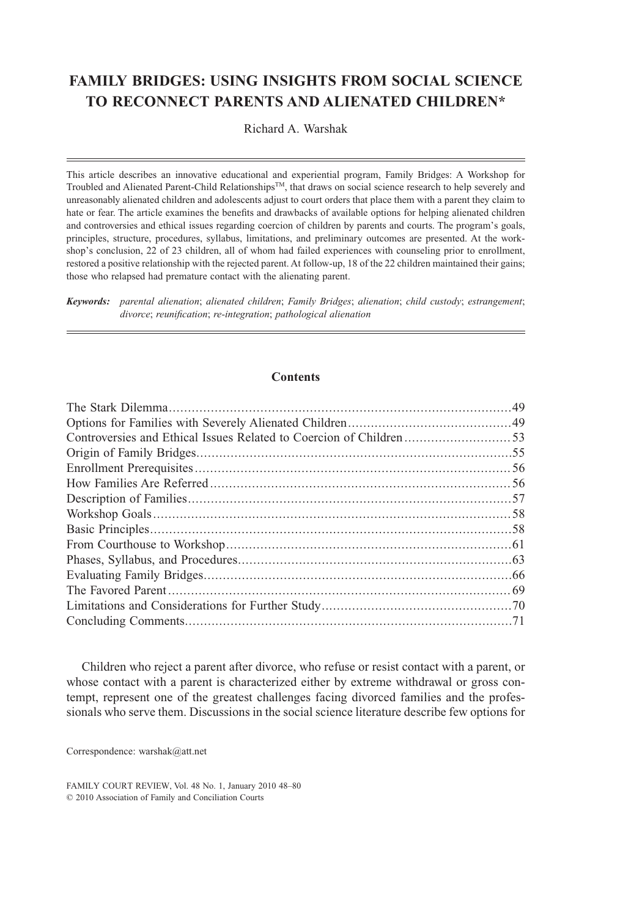# **FAMILY BRIDGES: USING INSIGHTS FROM SOCIAL SCIENCE TO RECONNECT PARENTS AND ALIENATED CHILDREN\***

Richard A. Warshak

This article describes an innovative educational and experiential program, Family Bridges: A Workshop for Troubled and Alienated Parent-Child Relationships™, that draws on social science research to help severely and unreasonably alienated children and adolescents adjust to court orders that place them with a parent they claim to hate or fear. The article examines the benefits and drawbacks of available options for helping alienated children and controversies and ethical issues regarding coercion of children by parents and courts. The program's goals, principles, structure, procedures, syllabus, limitations, and preliminary outcomes are presented. At the workshop's conclusion, 22 of 23 children, all of whom had failed experiences with counseling prior to enrollment, restored a positive relationship with the rejected parent. At follow-up, 18 of the 22 children maintained their gains; those who relapsed had premature contact with the alienating parent.

*Keywords: parental alienation*; *alienated children*; *Family Bridges*; *alienation*; *child custody*; *estrangement*; *divorce*; *reunification*; *re-integration*; *pathological alienation*

#### **Contents**

Children who reject a parent after divorce, who refuse or resist contact with a parent, or whose contact with a parent is characterized either by extreme withdrawal or gross contempt, represent one of the greatest challenges facing divorced families and the professionals who serve them. Discussions in the social science literature describe few options for

Correspondence: warshak@att.net

FAMILY COURT REVIEW, Vol. 48 No. 1, January 2010 48–80 © 2010 Association of Family and Conciliation Courts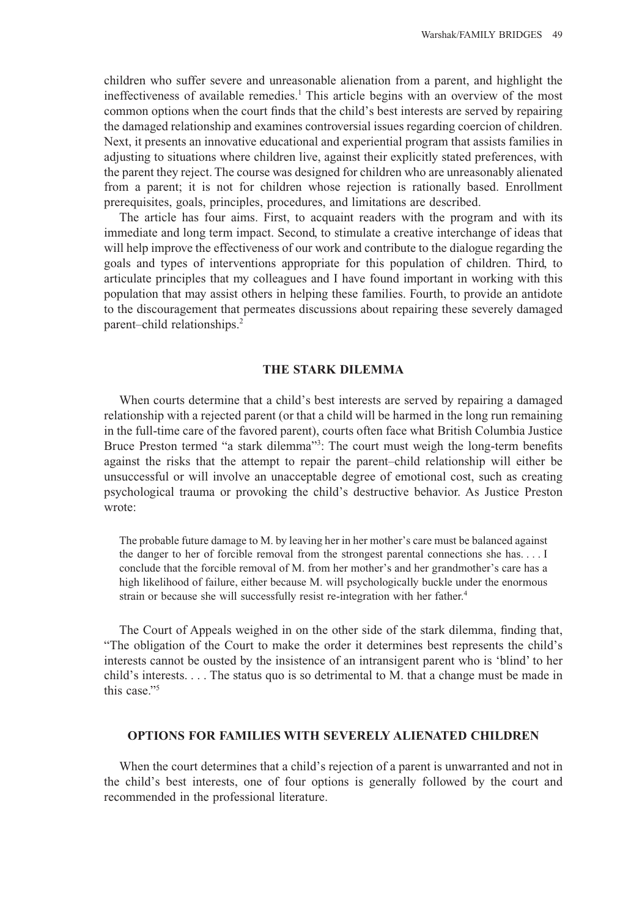children who suffer severe and unreasonable alienation from a parent, and highlight the ineffectiveness of available remedies.<sup>1</sup> This article begins with an overview of the most common options when the court finds that the child's best interests are served by repairing the damaged relationship and examines controversial issues regarding coercion of children. Next, it presents an innovative educational and experiential program that assists families in adjusting to situations where children live, against their explicitly stated preferences, with the parent they reject. The course was designed for children who are unreasonably alienated from a parent; it is not for children whose rejection is rationally based. Enrollment prerequisites, goals, principles, procedures, and limitations are described.

The article has four aims. First, to acquaint readers with the program and with its immediate and long term impact. Second, to stimulate a creative interchange of ideas that will help improve the effectiveness of our work and contribute to the dialogue regarding the goals and types of interventions appropriate for this population of children. Third, to articulate principles that my colleagues and I have found important in working with this population that may assist others in helping these families. Fourth, to provide an antidote to the discouragement that permeates discussions about repairing these severely damaged parent–child relationships.2

# **THE STARK DILEMMA**

When courts determine that a child's best interests are served by repairing a damaged relationship with a rejected parent (or that a child will be harmed in the long run remaining in the full-time care of the favored parent), courts often face what British Columbia Justice Bruce Preston termed "a stark dilemma"<sup>3</sup>: The court must weigh the long-term benefits against the risks that the attempt to repair the parent–child relationship will either be unsuccessful or will involve an unacceptable degree of emotional cost, such as creating psychological trauma or provoking the child's destructive behavior. As Justice Preston wrote:

The probable future damage to M. by leaving her in her mother's care must be balanced against the danger to her of forcible removal from the strongest parental connections she has....I conclude that the forcible removal of M. from her mother's and her grandmother's care has a high likelihood of failure, either because M. will psychologically buckle under the enormous strain or because she will successfully resist re-integration with her father.<sup>4</sup>

The Court of Appeals weighed in on the other side of the stark dilemma, finding that, "The obligation of the Court to make the order it determines best represents the child's interests cannot be ousted by the insistence of an intransigent parent who is 'blind' to her child's interests. . . . The status quo is so detrimental to M. that a change must be made in this case."5

# **OPTIONS FOR FAMILIES WITH SEVERELY ALIENATED CHILDREN**

When the court determines that a child's rejection of a parent is unwarranted and not in the child's best interests, one of four options is generally followed by the court and recommended in the professional literature.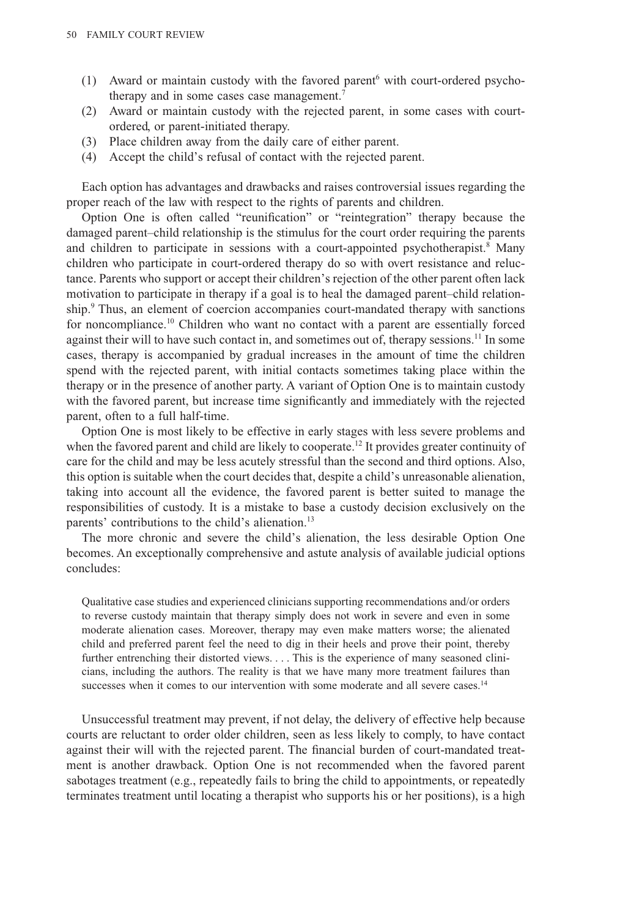- (1) Award or maintain custody with the favored parent<sup>6</sup> with court-ordered psychotherapy and in some cases case management.<sup>7</sup>
- (2) Award or maintain custody with the rejected parent, in some cases with courtordered, or parent-initiated therapy.
- (3) Place children away from the daily care of either parent.
- (4) Accept the child's refusal of contact with the rejected parent.

Each option has advantages and drawbacks and raises controversial issues regarding the proper reach of the law with respect to the rights of parents and children.

Option One is often called "reunification" or "reintegration" therapy because the damaged parent–child relationship is the stimulus for the court order requiring the parents and children to participate in sessions with a court-appointed psychotherapist.8 Many children who participate in court-ordered therapy do so with overt resistance and reluctance. Parents who support or accept their children's rejection of the other parent often lack motivation to participate in therapy if a goal is to heal the damaged parent–child relationship.<sup>9</sup> Thus, an element of coercion accompanies court-mandated therapy with sanctions for noncompliance.10 Children who want no contact with a parent are essentially forced against their will to have such contact in, and sometimes out of, therapy sessions.<sup>11</sup> In some cases, therapy is accompanied by gradual increases in the amount of time the children spend with the rejected parent, with initial contacts sometimes taking place within the therapy or in the presence of another party. A variant of Option One is to maintain custody with the favored parent, but increase time significantly and immediately with the rejected parent, often to a full half-time.

Option One is most likely to be effective in early stages with less severe problems and when the favored parent and child are likely to cooperate.<sup>12</sup> It provides greater continuity of care for the child and may be less acutely stressful than the second and third options. Also, this option is suitable when the court decides that, despite a child's unreasonable alienation, taking into account all the evidence, the favored parent is better suited to manage the responsibilities of custody. It is a mistake to base a custody decision exclusively on the parents' contributions to the child's alienation.<sup>13</sup>

The more chronic and severe the child's alienation, the less desirable Option One becomes. An exceptionally comprehensive and astute analysis of available judicial options concludes:

Qualitative case studies and experienced clinicians supporting recommendations and/or orders to reverse custody maintain that therapy simply does not work in severe and even in some moderate alienation cases. Moreover, therapy may even make matters worse; the alienated child and preferred parent feel the need to dig in their heels and prove their point, thereby further entrenching their distorted views.... This is the experience of many seasoned clinicians, including the authors. The reality is that we have many more treatment failures than successes when it comes to our intervention with some moderate and all severe cases.<sup>14</sup>

Unsuccessful treatment may prevent, if not delay, the delivery of effective help because courts are reluctant to order older children, seen as less likely to comply, to have contact against their will with the rejected parent. The financial burden of court-mandated treatment is another drawback. Option One is not recommended when the favored parent sabotages treatment (e.g., repeatedly fails to bring the child to appointments, or repeatedly terminates treatment until locating a therapist who supports his or her positions), is a high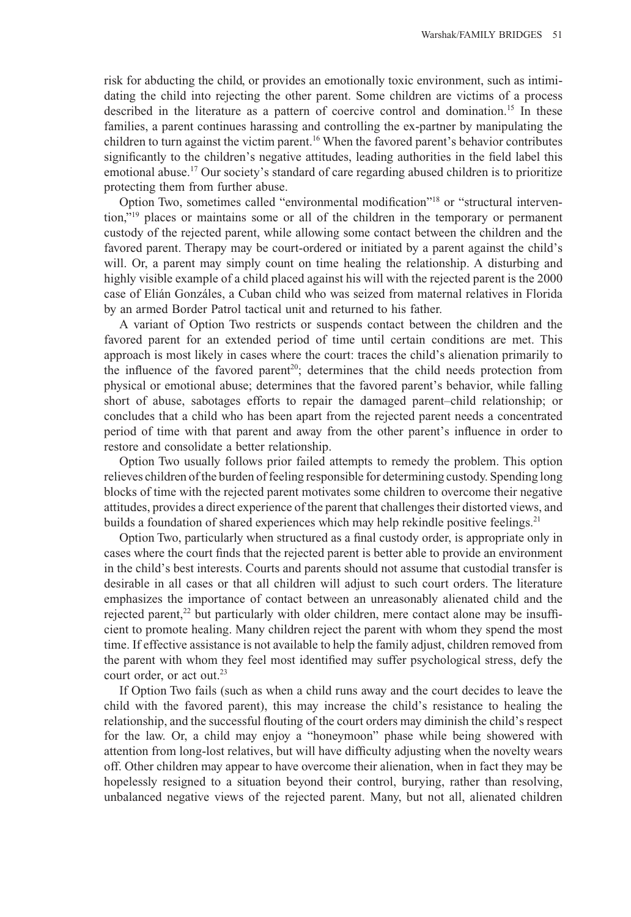risk for abducting the child, or provides an emotionally toxic environment, such as intimidating the child into rejecting the other parent. Some children are victims of a process described in the literature as a pattern of coercive control and domination.<sup>15</sup> In these families, a parent continues harassing and controlling the ex-partner by manipulating the children to turn against the victim parent.<sup>16</sup> When the favored parent's behavior contributes significantly to the children's negative attitudes, leading authorities in the field label this emotional abuse.17 Our society's standard of care regarding abused children is to prioritize protecting them from further abuse.

Option Two, sometimes called "environmental modification"18 or "structural intervention,"19 places or maintains some or all of the children in the temporary or permanent custody of the rejected parent, while allowing some contact between the children and the favored parent. Therapy may be court-ordered or initiated by a parent against the child's will. Or, a parent may simply count on time healing the relationship. A disturbing and highly visible example of a child placed against his will with the rejected parent is the 2000 case of Elián Gonzáles, a Cuban child who was seized from maternal relatives in Florida by an armed Border Patrol tactical unit and returned to his father.

A variant of Option Two restricts or suspends contact between the children and the favored parent for an extended period of time until certain conditions are met. This approach is most likely in cases where the court: traces the child's alienation primarily to the influence of the favored parent<sup>20</sup>; determines that the child needs protection from physical or emotional abuse; determines that the favored parent's behavior, while falling short of abuse, sabotages efforts to repair the damaged parent–child relationship; or concludes that a child who has been apart from the rejected parent needs a concentrated period of time with that parent and away from the other parent's influence in order to restore and consolidate a better relationship.

Option Two usually follows prior failed attempts to remedy the problem. This option relieves children of the burden of feeling responsible for determining custody. Spending long blocks of time with the rejected parent motivates some children to overcome their negative attitudes, provides a direct experience of the parent that challenges their distorted views, and builds a foundation of shared experiences which may help rekindle positive feelings.<sup>21</sup>

Option Two, particularly when structured as a final custody order, is appropriate only in cases where the court finds that the rejected parent is better able to provide an environment in the child's best interests. Courts and parents should not assume that custodial transfer is desirable in all cases or that all children will adjust to such court orders. The literature emphasizes the importance of contact between an unreasonably alienated child and the rejected parent,<sup>22</sup> but particularly with older children, mere contact alone may be insufficient to promote healing. Many children reject the parent with whom they spend the most time. If effective assistance is not available to help the family adjust, children removed from the parent with whom they feel most identified may suffer psychological stress, defy the court order, or act out.<sup>23</sup>

If Option Two fails (such as when a child runs away and the court decides to leave the child with the favored parent), this may increase the child's resistance to healing the relationship, and the successful flouting of the court orders may diminish the child's respect for the law. Or, a child may enjoy a "honeymoon" phase while being showered with attention from long-lost relatives, but will have difficulty adjusting when the novelty wears off. Other children may appear to have overcome their alienation, when in fact they may be hopelessly resigned to a situation beyond their control, burying, rather than resolving, unbalanced negative views of the rejected parent. Many, but not all, alienated children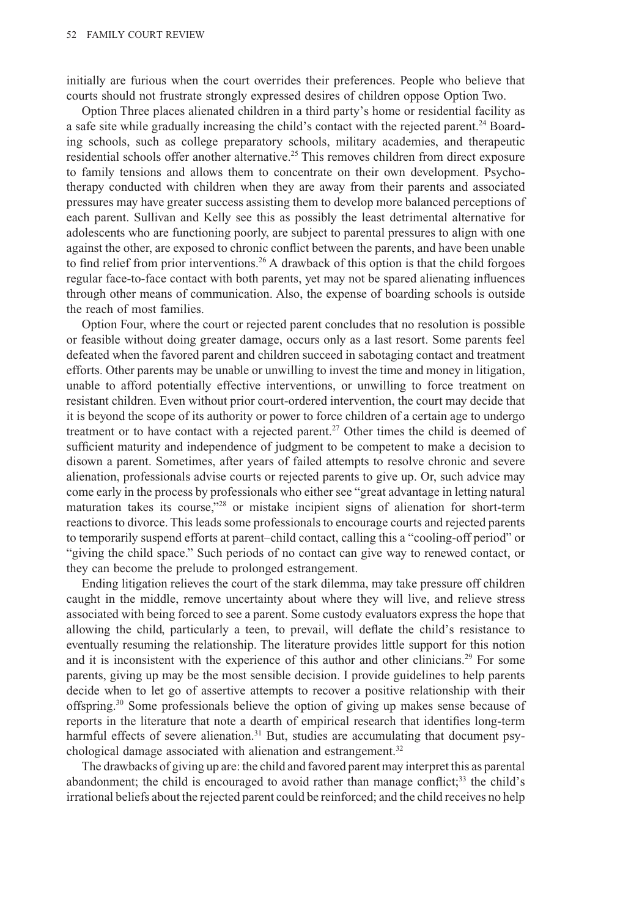initially are furious when the court overrides their preferences. People who believe that courts should not frustrate strongly expressed desires of children oppose Option Two.

Option Three places alienated children in a third party's home or residential facility as a safe site while gradually increasing the child's contact with the rejected parent.24 Boarding schools, such as college preparatory schools, military academies, and therapeutic residential schools offer another alternative.<sup>25</sup> This removes children from direct exposure to family tensions and allows them to concentrate on their own development. Psychotherapy conducted with children when they are away from their parents and associated pressures may have greater success assisting them to develop more balanced perceptions of each parent. Sullivan and Kelly see this as possibly the least detrimental alternative for adolescents who are functioning poorly, are subject to parental pressures to align with one against the other, are exposed to chronic conflict between the parents, and have been unable to find relief from prior interventions.<sup>26</sup> A drawback of this option is that the child forgoes regular face-to-face contact with both parents, yet may not be spared alienating influences through other means of communication. Also, the expense of boarding schools is outside the reach of most families.

Option Four, where the court or rejected parent concludes that no resolution is possible or feasible without doing greater damage, occurs only as a last resort. Some parents feel defeated when the favored parent and children succeed in sabotaging contact and treatment efforts. Other parents may be unable or unwilling to invest the time and money in litigation, unable to afford potentially effective interventions, or unwilling to force treatment on resistant children. Even without prior court-ordered intervention, the court may decide that it is beyond the scope of its authority or power to force children of a certain age to undergo treatment or to have contact with a rejected parent.<sup>27</sup> Other times the child is deemed of sufficient maturity and independence of judgment to be competent to make a decision to disown a parent. Sometimes, after years of failed attempts to resolve chronic and severe alienation, professionals advise courts or rejected parents to give up. Or, such advice may come early in the process by professionals who either see "great advantage in letting natural maturation takes its course,"28 or mistake incipient signs of alienation for short-term reactions to divorce. This leads some professionals to encourage courts and rejected parents to temporarily suspend efforts at parent–child contact, calling this a "cooling-off period" or "giving the child space." Such periods of no contact can give way to renewed contact, or they can become the prelude to prolonged estrangement.

Ending litigation relieves the court of the stark dilemma, may take pressure off children caught in the middle, remove uncertainty about where they will live, and relieve stress associated with being forced to see a parent. Some custody evaluators express the hope that allowing the child, particularly a teen, to prevail, will deflate the child's resistance to eventually resuming the relationship. The literature provides little support for this notion and it is inconsistent with the experience of this author and other clinicians.<sup>29</sup> For some parents, giving up may be the most sensible decision. I provide guidelines to help parents decide when to let go of assertive attempts to recover a positive relationship with their offspring.30 Some professionals believe the option of giving up makes sense because of reports in the literature that note a dearth of empirical research that identifies long-term harmful effects of severe alienation.<sup>31</sup> But, studies are accumulating that document psychological damage associated with alienation and estrangement.<sup>32</sup>

The drawbacks of giving up are: the child and favored parent may interpret this as parental abandonment; the child is encouraged to avoid rather than manage conflict;<sup>33</sup> the child's irrational beliefs about the rejected parent could be reinforced; and the child receives no help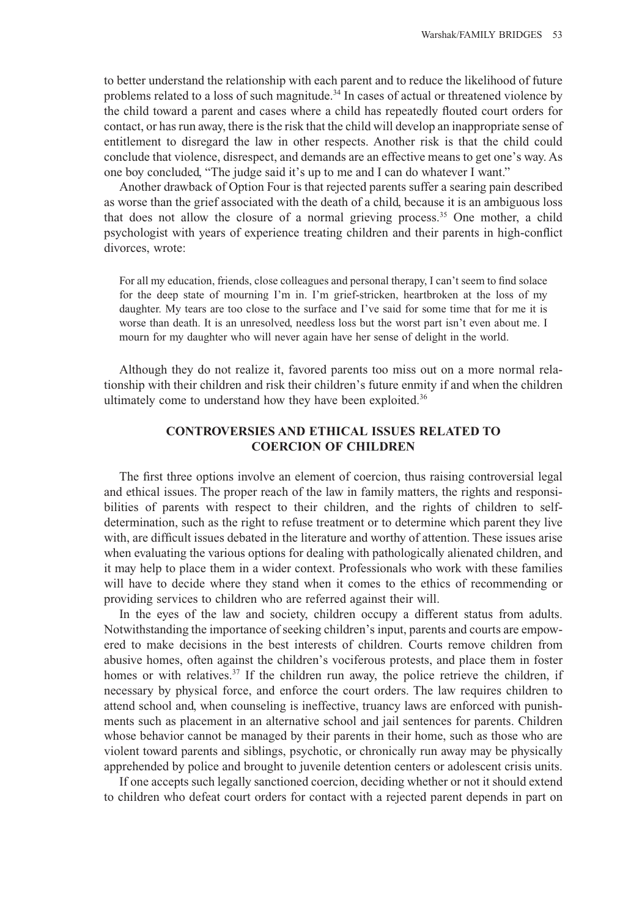to better understand the relationship with each parent and to reduce the likelihood of future problems related to a loss of such magnitude.34 In cases of actual or threatened violence by the child toward a parent and cases where a child has repeatedly flouted court orders for contact, or has run away, there is the risk that the child will develop an inappropriate sense of entitlement to disregard the law in other respects. Another risk is that the child could conclude that violence, disrespect, and demands are an effective means to get one's way. As one boy concluded, "The judge said it's up to me and I can do whatever I want."

Another drawback of Option Four is that rejected parents suffer a searing pain described as worse than the grief associated with the death of a child, because it is an ambiguous loss that does not allow the closure of a normal grieving process.<sup>35</sup> One mother, a child psychologist with years of experience treating children and their parents in high-conflict divorces, wrote:

For all my education, friends, close colleagues and personal therapy, I can't seem to find solace for the deep state of mourning I'm in. I'm grief-stricken, heartbroken at the loss of my daughter. My tears are too close to the surface and I've said for some time that for me it is worse than death. It is an unresolved, needless loss but the worst part isn't even about me. I mourn for my daughter who will never again have her sense of delight in the world.

Although they do not realize it, favored parents too miss out on a more normal relationship with their children and risk their children's future enmity if and when the children ultimately come to understand how they have been exploited.<sup>36</sup>

# **CONTROVERSIES AND ETHICAL ISSUES RELATED TO COERCION OF CHILDREN**

The first three options involve an element of coercion, thus raising controversial legal and ethical issues. The proper reach of the law in family matters, the rights and responsibilities of parents with respect to their children, and the rights of children to selfdetermination, such as the right to refuse treatment or to determine which parent they live with, are difficult issues debated in the literature and worthy of attention. These issues arise when evaluating the various options for dealing with pathologically alienated children, and it may help to place them in a wider context. Professionals who work with these families will have to decide where they stand when it comes to the ethics of recommending or providing services to children who are referred against their will.

In the eyes of the law and society, children occupy a different status from adults. Notwithstanding the importance of seeking children's input, parents and courts are empowered to make decisions in the best interests of children. Courts remove children from abusive homes, often against the children's vociferous protests, and place them in foster homes or with relatives.<sup>37</sup> If the children run away, the police retrieve the children, if necessary by physical force, and enforce the court orders. The law requires children to attend school and, when counseling is ineffective, truancy laws are enforced with punishments such as placement in an alternative school and jail sentences for parents. Children whose behavior cannot be managed by their parents in their home, such as those who are violent toward parents and siblings, psychotic, or chronically run away may be physically apprehended by police and brought to juvenile detention centers or adolescent crisis units.

If one accepts such legally sanctioned coercion, deciding whether or not it should extend to children who defeat court orders for contact with a rejected parent depends in part on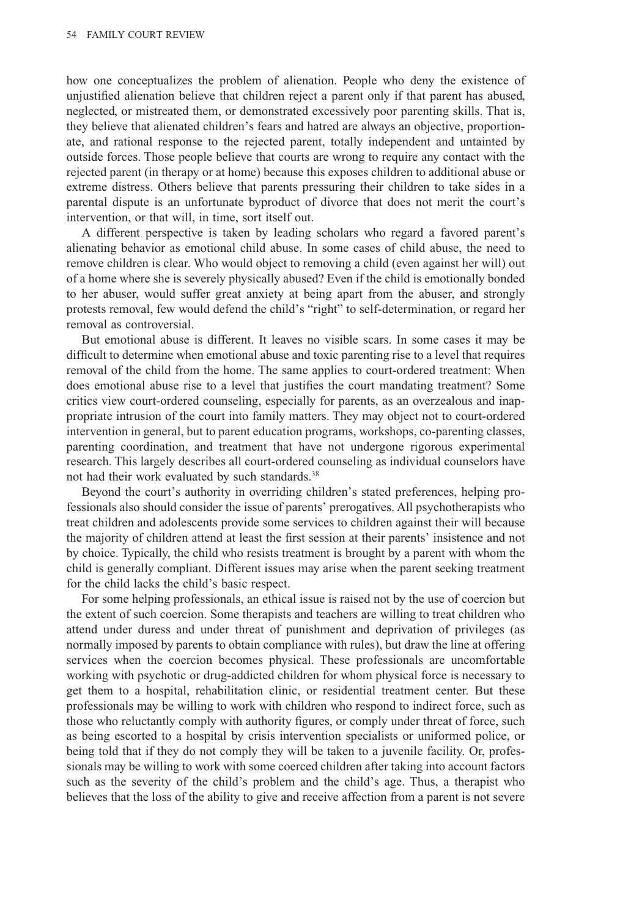how one conceptualizes the problem of alienation. People who deny the existence of unjustified alienation believe that children reject a parent only if that parent has abused, neglected, or mistreated them, or demonstrated excessively poor parenting skills. That is, they believe that alienated children's fears and hatred are always an objective, proportionate, and rational response to the rejected parent, totally independent and untainted by outside forces. Those people believe that courts are wrong to require any contact with the rejected parent (in therapy or at home) because this exposes children to additional abuse or extreme distress. Others believe that parents pressuring their children to take sides in a parental dispute is an unfortunate byproduct of divorce that does not merit the court's intervention, or that will, in time, sort itself out.

A different perspective is taken by leading scholars who regard a favored parent's alienating behavior as emotional child abuse. In some cases of child abuse, the need to remove children is clear. Who would object to removing a child (even against her will) out of a home where she is severely physically abused? Even if the child is emotionally bonded to her abuser, would suffer great anxiety at being apart from the abuser, and strongly protests removal, few would defend the child's "right" to self-determination, or regard her removal as controversial.

But emotional abuse is different. It leaves no visible scars. In some cases it may be difficult to determine when emotional abuse and toxic parenting rise to a level that requires removal of the child from the home. The same applies to court-ordered treatment: When does emotional abuse rise to a level that justifies the court mandating treatment? Some critics view court-ordered counseling, especially for parents, as an overzealous and inappropriate intrusion of the court into family matters. They may object not to court-ordered intervention in general, but to parent education programs, workshops, co-parenting classes, parenting coordination, and treatment that have not undergone rigorous experimental research. This largely describes all court-ordered counseling as individual counselors have not had their work evaluated by such standards.<sup>38</sup>

Beyond the court's authority in overriding children's stated preferences, helping professionals also should consider the issue of parents' prerogatives. All psychotherapists who treat children and adolescents provide some services to children against their will because the majority of children attend at least the first session at their parents' insistence and not by choice. Typically, the child who resists treatment is brought by a parent with whom the child is generally compliant. Different issues may arise when the parent seeking treatment for the child lacks the child's basic respect.

For some helping professionals, an ethical issue is raised not by the use of coercion but the extent of such coercion. Some therapists and teachers are willing to treat children who attend under duress and under threat of punishment and deprivation of privileges (as normally imposed by parents to obtain compliance with rules), but draw the line at offering services when the coercion becomes physical. These professionals are uncomfortable working with psychotic or drug-addicted children for whom physical force is necessary to get them to a hospital, rehabilitation clinic, or residential treatment center. But these professionals may be willing to work with children who respond to indirect force, such as those who reluctantly comply with authority figures, or comply under threat of force, such as being escorted to a hospital by crisis intervention specialists or uniformed police, or being told that if they do not comply they will be taken to a juvenile facility. Or, professionals may be willing to work with some coerced children after taking into account factors such as the severity of the child's problem and the child's age. Thus, a therapist who believes that the loss of the ability to give and receive affection from a parent is not severe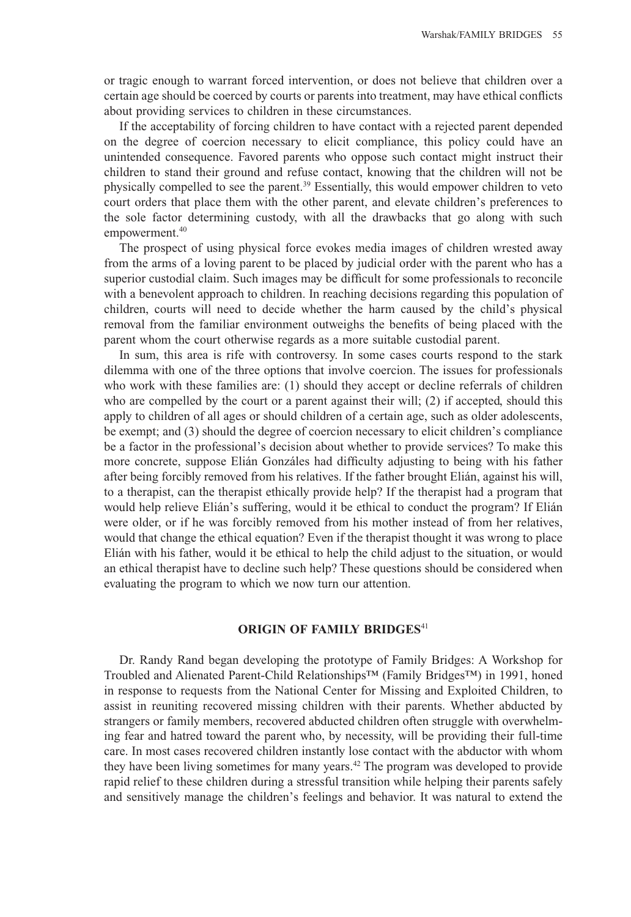or tragic enough to warrant forced intervention, or does not believe that children over a certain age should be coerced by courts or parents into treatment, may have ethical conflicts about providing services to children in these circumstances.

If the acceptability of forcing children to have contact with a rejected parent depended on the degree of coercion necessary to elicit compliance, this policy could have an unintended consequence. Favored parents who oppose such contact might instruct their children to stand their ground and refuse contact, knowing that the children will not be physically compelled to see the parent.<sup>39</sup> Essentially, this would empower children to veto court orders that place them with the other parent, and elevate children's preferences to the sole factor determining custody, with all the drawbacks that go along with such empowerment.<sup>40</sup>

The prospect of using physical force evokes media images of children wrested away from the arms of a loving parent to be placed by judicial order with the parent who has a superior custodial claim. Such images may be difficult for some professionals to reconcile with a benevolent approach to children. In reaching decisions regarding this population of children, courts will need to decide whether the harm caused by the child's physical removal from the familiar environment outweighs the benefits of being placed with the parent whom the court otherwise regards as a more suitable custodial parent.

In sum, this area is rife with controversy. In some cases courts respond to the stark dilemma with one of the three options that involve coercion. The issues for professionals who work with these families are: (1) should they accept or decline referrals of children who are compelled by the court or a parent against their will; (2) if accepted, should this apply to children of all ages or should children of a certain age, such as older adolescents, be exempt; and (3) should the degree of coercion necessary to elicit children's compliance be a factor in the professional's decision about whether to provide services? To make this more concrete, suppose Elián Gonzáles had difficulty adjusting to being with his father after being forcibly removed from his relatives. If the father brought Elián, against his will, to a therapist, can the therapist ethically provide help? If the therapist had a program that would help relieve Elián's suffering, would it be ethical to conduct the program? If Elián were older, or if he was forcibly removed from his mother instead of from her relatives, would that change the ethical equation? Even if the therapist thought it was wrong to place Elián with his father, would it be ethical to help the child adjust to the situation, or would an ethical therapist have to decline such help? These questions should be considered when evaluating the program to which we now turn our attention.

# **ORIGIN OF FAMILY BRIDGES**<sup>41</sup>

Dr. Randy Rand began developing the prototype of Family Bridges: A Workshop for Troubled and Alienated Parent-Child Relationships™ (Family Bridges™) in 1991, honed in response to requests from the National Center for Missing and Exploited Children, to assist in reuniting recovered missing children with their parents. Whether abducted by strangers or family members, recovered abducted children often struggle with overwhelming fear and hatred toward the parent who, by necessity, will be providing their full-time care. In most cases recovered children instantly lose contact with the abductor with whom they have been living sometimes for many years.<sup>42</sup> The program was developed to provide rapid relief to these children during a stressful transition while helping their parents safely and sensitively manage the children's feelings and behavior. It was natural to extend the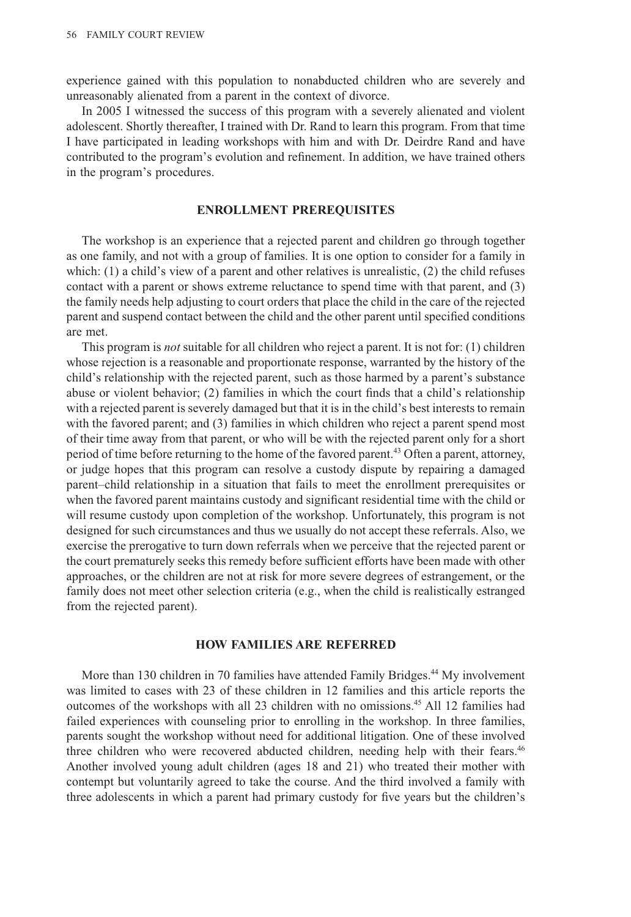experience gained with this population to nonabducted children who are severely and unreasonably alienated from a parent in the context of divorce.

In 2005 I witnessed the success of this program with a severely alienated and violent adolescent. Shortly thereafter, I trained with Dr. Rand to learn this program. From that time I have participated in leading workshops with him and with Dr. Deirdre Rand and have contributed to the program's evolution and refinement. In addition, we have trained others in the program's procedures.

#### **ENROLLMENT PREREQUISITES**

The workshop is an experience that a rejected parent and children go through together as one family, and not with a group of families. It is one option to consider for a family in which: (1) a child's view of a parent and other relatives is unrealistic, (2) the child refuses contact with a parent or shows extreme reluctance to spend time with that parent, and (3) the family needs help adjusting to court orders that place the child in the care of the rejected parent and suspend contact between the child and the other parent until specified conditions are met.

This program is *not* suitable for all children who reject a parent. It is not for: (1) children whose rejection is a reasonable and proportionate response, warranted by the history of the child's relationship with the rejected parent, such as those harmed by a parent's substance abuse or violent behavior; (2) families in which the court finds that a child's relationship with a rejected parent is severely damaged but that it is in the child's best interests to remain with the favored parent; and (3) families in which children who reject a parent spend most of their time away from that parent, or who will be with the rejected parent only for a short period of time before returning to the home of the favored parent.43 Often a parent, attorney, or judge hopes that this program can resolve a custody dispute by repairing a damaged parent–child relationship in a situation that fails to meet the enrollment prerequisites or when the favored parent maintains custody and significant residential time with the child or will resume custody upon completion of the workshop. Unfortunately, this program is not designed for such circumstances and thus we usually do not accept these referrals. Also, we exercise the prerogative to turn down referrals when we perceive that the rejected parent or the court prematurely seeks this remedy before sufficient efforts have been made with other approaches, or the children are not at risk for more severe degrees of estrangement, or the family does not meet other selection criteria (e.g., when the child is realistically estranged from the rejected parent).

#### **HOW FAMILIES ARE REFERRED**

More than 130 children in 70 families have attended Family Bridges.<sup>44</sup> My involvement was limited to cases with 23 of these children in 12 families and this article reports the outcomes of the workshops with all 23 children with no omissions.<sup>45</sup> All 12 families had failed experiences with counseling prior to enrolling in the workshop. In three families, parents sought the workshop without need for additional litigation. One of these involved three children who were recovered abducted children, needing help with their fears.<sup>46</sup> Another involved young adult children (ages 18 and 21) who treated their mother with contempt but voluntarily agreed to take the course. And the third involved a family with three adolescents in which a parent had primary custody for five years but the children's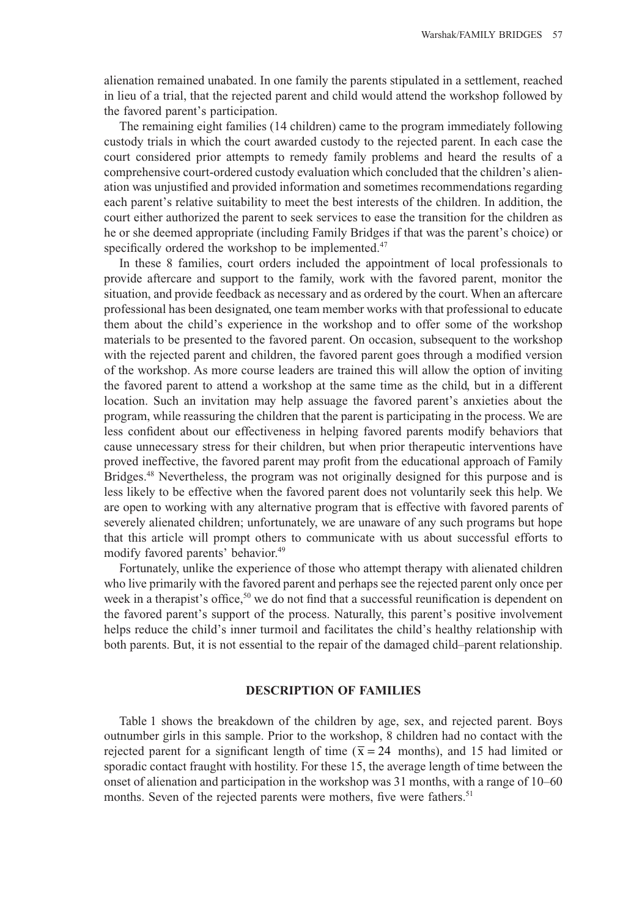alienation remained unabated. In one family the parents stipulated in a settlement, reached in lieu of a trial, that the rejected parent and child would attend the workshop followed by the favored parent's participation.

The remaining eight families (14 children) came to the program immediately following custody trials in which the court awarded custody to the rejected parent. In each case the court considered prior attempts to remedy family problems and heard the results of a comprehensive court-ordered custody evaluation which concluded that the children's alienation was unjustified and provided information and sometimes recommendations regarding each parent's relative suitability to meet the best interests of the children. In addition, the court either authorized the parent to seek services to ease the transition for the children as he or she deemed appropriate (including Family Bridges if that was the parent's choice) or specifically ordered the workshop to be implemented.<sup>47</sup>

In these 8 families, court orders included the appointment of local professionals to provide aftercare and support to the family, work with the favored parent, monitor the situation, and provide feedback as necessary and as ordered by the court. When an aftercare professional has been designated, one team member works with that professional to educate them about the child's experience in the workshop and to offer some of the workshop materials to be presented to the favored parent. On occasion, subsequent to the workshop with the rejected parent and children, the favored parent goes through a modified version of the workshop. As more course leaders are trained this will allow the option of inviting the favored parent to attend a workshop at the same time as the child, but in a different location. Such an invitation may help assuage the favored parent's anxieties about the program, while reassuring the children that the parent is participating in the process. We are less confident about our effectiveness in helping favored parents modify behaviors that cause unnecessary stress for their children, but when prior therapeutic interventions have proved ineffective, the favored parent may profit from the educational approach of Family Bridges.48 Nevertheless, the program was not originally designed for this purpose and is less likely to be effective when the favored parent does not voluntarily seek this help. We are open to working with any alternative program that is effective with favored parents of severely alienated children; unfortunately, we are unaware of any such programs but hope that this article will prompt others to communicate with us about successful efforts to modify favored parents' behavior.<sup>49</sup>

Fortunately, unlike the experience of those who attempt therapy with alienated children who live primarily with the favored parent and perhaps see the rejected parent only once per week in a therapist's office,<sup>50</sup> we do not find that a successful reunification is dependent on the favored parent's support of the process. Naturally, this parent's positive involvement helps reduce the child's inner turmoil and facilitates the child's healthy relationship with both parents. But, it is not essential to the repair of the damaged child–parent relationship.

## **DESCRIPTION OF FAMILIES**

Table 1 shows the breakdown of the children by age, sex, and rejected parent. Boys outnumber girls in this sample. Prior to the workshop, 8 children had no contact with the rejected parent for a significant length of time ( $\bar{x} = 24$  months), and 15 had limited or sporadic contact fraught with hostility. For these 15, the average length of time between the onset of alienation and participation in the workshop was 31 months, with a range of 10–60 months. Seven of the rejected parents were mothers, five were fathers.<sup>51</sup>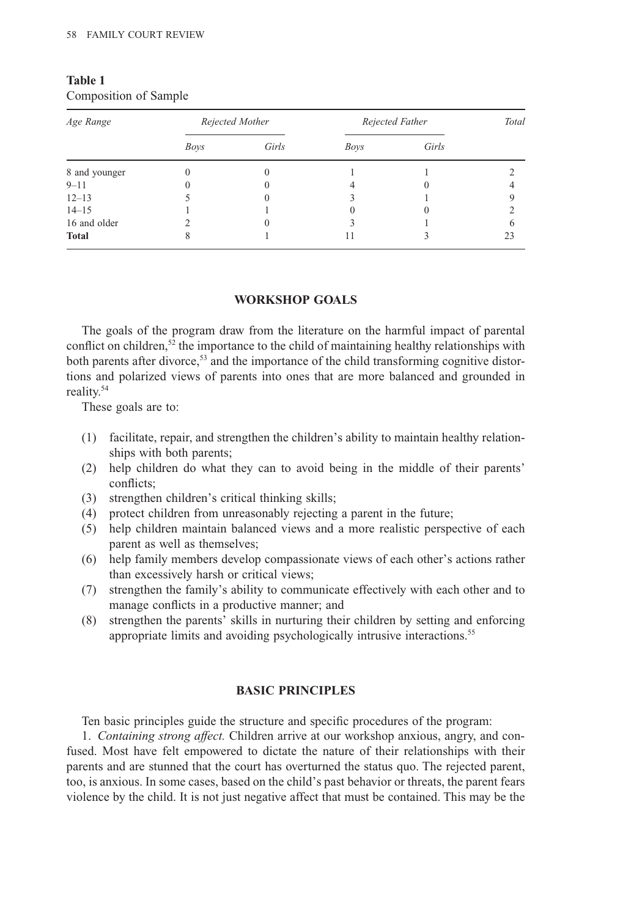| Age Range     | Rejected Mother |       | Rejected Father |       | Total |
|---------------|-----------------|-------|-----------------|-------|-------|
|               | Boys            | Girls | <b>Boys</b>     | Girls |       |
| 8 and younger |                 |       |                 |       |       |
| $9 - 11$      |                 |       |                 |       |       |
| $12 - 13$     |                 |       |                 |       |       |
| $14 - 15$     |                 |       |                 |       |       |
| 16 and older  |                 |       |                 |       | 6     |
| <b>Total</b>  |                 |       | 11              |       | 23    |

### **Table 1** Composition of Sample

# **WORKSHOP GOALS**

The goals of the program draw from the literature on the harmful impact of parental conflict on children, $52$  the importance to the child of maintaining healthy relationships with both parents after divorce,<sup>53</sup> and the importance of the child transforming cognitive distortions and polarized views of parents into ones that are more balanced and grounded in reality.54

These goals are to:

- (1) facilitate, repair, and strengthen the children's ability to maintain healthy relationships with both parents;
- (2) help children do what they can to avoid being in the middle of their parents' conflicts;
- (3) strengthen children's critical thinking skills;
- (4) protect children from unreasonably rejecting a parent in the future;
- (5) help children maintain balanced views and a more realistic perspective of each parent as well as themselves;
- (6) help family members develop compassionate views of each other's actions rather than excessively harsh or critical views;
- (7) strengthen the family's ability to communicate effectively with each other and to manage conflicts in a productive manner; and
- (8) strengthen the parents' skills in nurturing their children by setting and enforcing appropriate limits and avoiding psychologically intrusive interactions.<sup>55</sup>

## **BASIC PRINCIPLES**

Ten basic principles guide the structure and specific procedures of the program:

1. *Containing strong affect.* Children arrive at our workshop anxious, angry, and confused. Most have felt empowered to dictate the nature of their relationships with their parents and are stunned that the court has overturned the status quo. The rejected parent, too, is anxious. In some cases, based on the child's past behavior or threats, the parent fears violence by the child. It is not just negative affect that must be contained. This may be the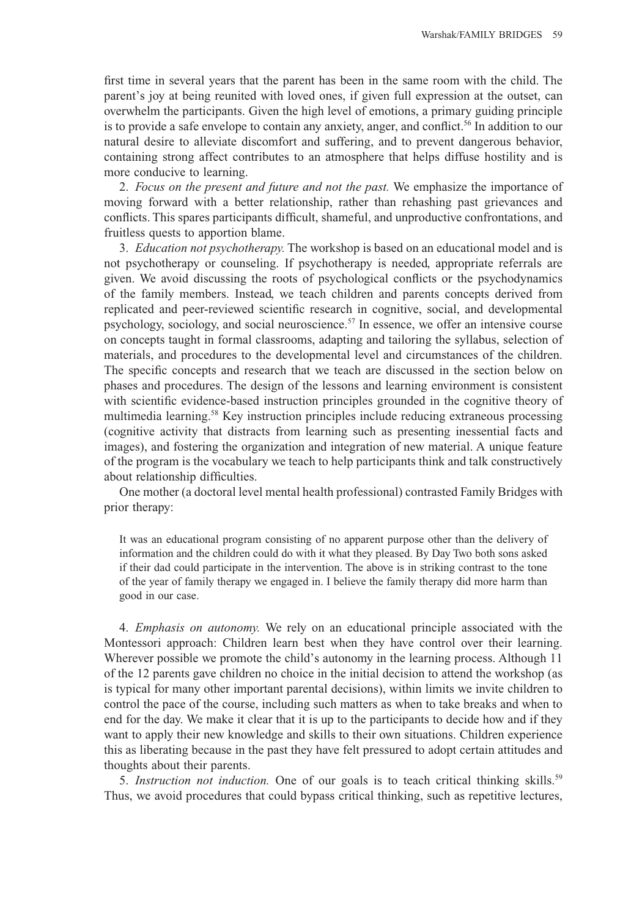first time in several years that the parent has been in the same room with the child. The parent's joy at being reunited with loved ones, if given full expression at the outset, can overwhelm the participants. Given the high level of emotions, a primary guiding principle is to provide a safe envelope to contain any anxiety, anger, and conflict.<sup>56</sup> In addition to our natural desire to alleviate discomfort and suffering, and to prevent dangerous behavior, containing strong affect contributes to an atmosphere that helps diffuse hostility and is more conducive to learning.

2. *Focus on the present and future and not the past.* We emphasize the importance of moving forward with a better relationship, rather than rehashing past grievances and conflicts. This spares participants difficult, shameful, and unproductive confrontations, and fruitless quests to apportion blame.

3. *Education not psychotherapy.* The workshop is based on an educational model and is not psychotherapy or counseling. If psychotherapy is needed, appropriate referrals are given. We avoid discussing the roots of psychological conflicts or the psychodynamics of the family members. Instead, we teach children and parents concepts derived from replicated and peer-reviewed scientific research in cognitive, social, and developmental psychology, sociology, and social neuroscience.<sup>57</sup> In essence, we offer an intensive course on concepts taught in formal classrooms, adapting and tailoring the syllabus, selection of materials, and procedures to the developmental level and circumstances of the children. The specific concepts and research that we teach are discussed in the section below on phases and procedures. The design of the lessons and learning environment is consistent with scientific evidence-based instruction principles grounded in the cognitive theory of multimedia learning.58 Key instruction principles include reducing extraneous processing (cognitive activity that distracts from learning such as presenting inessential facts and images), and fostering the organization and integration of new material. A unique feature of the program is the vocabulary we teach to help participants think and talk constructively about relationship difficulties.

One mother (a doctoral level mental health professional) contrasted Family Bridges with prior therapy:

It was an educational program consisting of no apparent purpose other than the delivery of information and the children could do with it what they pleased. By Day Two both sons asked if their dad could participate in the intervention. The above is in striking contrast to the tone of the year of family therapy we engaged in. I believe the family therapy did more harm than good in our case.

4. *Emphasis on autonomy.* We rely on an educational principle associated with the Montessori approach: Children learn best when they have control over their learning. Wherever possible we promote the child's autonomy in the learning process. Although 11 of the 12 parents gave children no choice in the initial decision to attend the workshop (as is typical for many other important parental decisions), within limits we invite children to control the pace of the course, including such matters as when to take breaks and when to end for the day. We make it clear that it is up to the participants to decide how and if they want to apply their new knowledge and skills to their own situations. Children experience this as liberating because in the past they have felt pressured to adopt certain attitudes and thoughts about their parents.

5. *Instruction not induction*. One of our goals is to teach critical thinking skills.<sup>59</sup> Thus, we avoid procedures that could bypass critical thinking, such as repetitive lectures,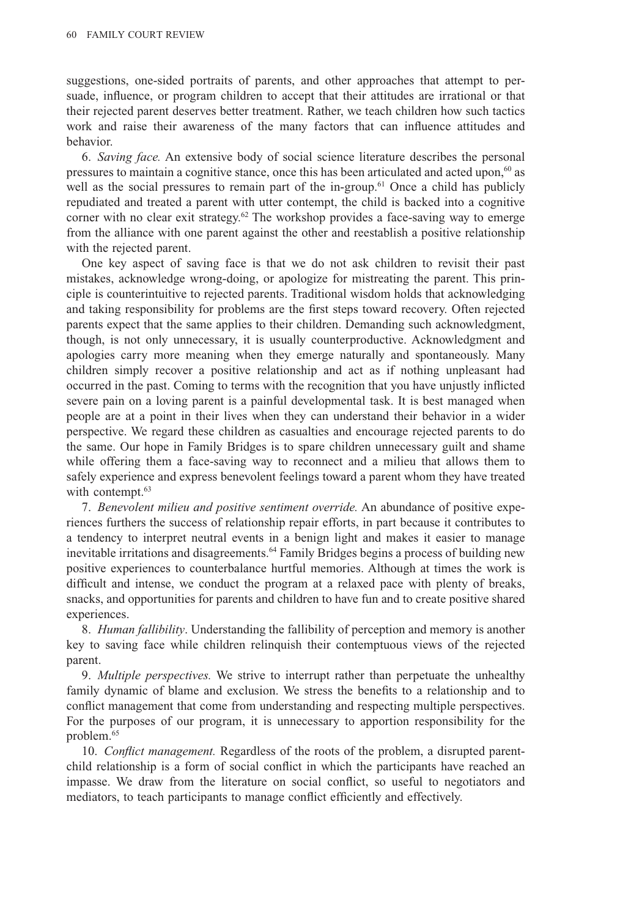suggestions, one-sided portraits of parents, and other approaches that attempt to persuade, influence, or program children to accept that their attitudes are irrational or that their rejected parent deserves better treatment. Rather, we teach children how such tactics work and raise their awareness of the many factors that can influence attitudes and behavior.

6. *Saving face.* An extensive body of social science literature describes the personal pressures to maintain a cognitive stance, once this has been articulated and acted upon, $60$  as well as the social pressures to remain part of the in-group.<sup>61</sup> Once a child has publicly repudiated and treated a parent with utter contempt, the child is backed into a cognitive corner with no clear exit strategy. $62$  The workshop provides a face-saving way to emerge from the alliance with one parent against the other and reestablish a positive relationship with the rejected parent.

One key aspect of saving face is that we do not ask children to revisit their past mistakes, acknowledge wrong-doing, or apologize for mistreating the parent. This principle is counterintuitive to rejected parents. Traditional wisdom holds that acknowledging and taking responsibility for problems are the first steps toward recovery. Often rejected parents expect that the same applies to their children. Demanding such acknowledgment, though, is not only unnecessary, it is usually counterproductive. Acknowledgment and apologies carry more meaning when they emerge naturally and spontaneously. Many children simply recover a positive relationship and act as if nothing unpleasant had occurred in the past. Coming to terms with the recognition that you have unjustly inflicted severe pain on a loving parent is a painful developmental task. It is best managed when people are at a point in their lives when they can understand their behavior in a wider perspective. We regard these children as casualties and encourage rejected parents to do the same. Our hope in Family Bridges is to spare children unnecessary guilt and shame while offering them a face-saving way to reconnect and a milieu that allows them to safely experience and express benevolent feelings toward a parent whom they have treated with contempt.<sup>63</sup>

7. *Benevolent milieu and positive sentiment override.* An abundance of positive experiences furthers the success of relationship repair efforts, in part because it contributes to a tendency to interpret neutral events in a benign light and makes it easier to manage inevitable irritations and disagreements.<sup>64</sup> Family Bridges begins a process of building new positive experiences to counterbalance hurtful memories. Although at times the work is difficult and intense, we conduct the program at a relaxed pace with plenty of breaks, snacks, and opportunities for parents and children to have fun and to create positive shared experiences.

8. *Human fallibility*. Understanding the fallibility of perception and memory is another key to saving face while children relinquish their contemptuous views of the rejected parent.

9. *Multiple perspectives.* We strive to interrupt rather than perpetuate the unhealthy family dynamic of blame and exclusion. We stress the benefits to a relationship and to conflict management that come from understanding and respecting multiple perspectives. For the purposes of our program, it is unnecessary to apportion responsibility for the problem.<sup>65</sup>

10. *Conflict management.* Regardless of the roots of the problem, a disrupted parentchild relationship is a form of social conflict in which the participants have reached an impasse. We draw from the literature on social conflict, so useful to negotiators and mediators, to teach participants to manage conflict efficiently and effectively.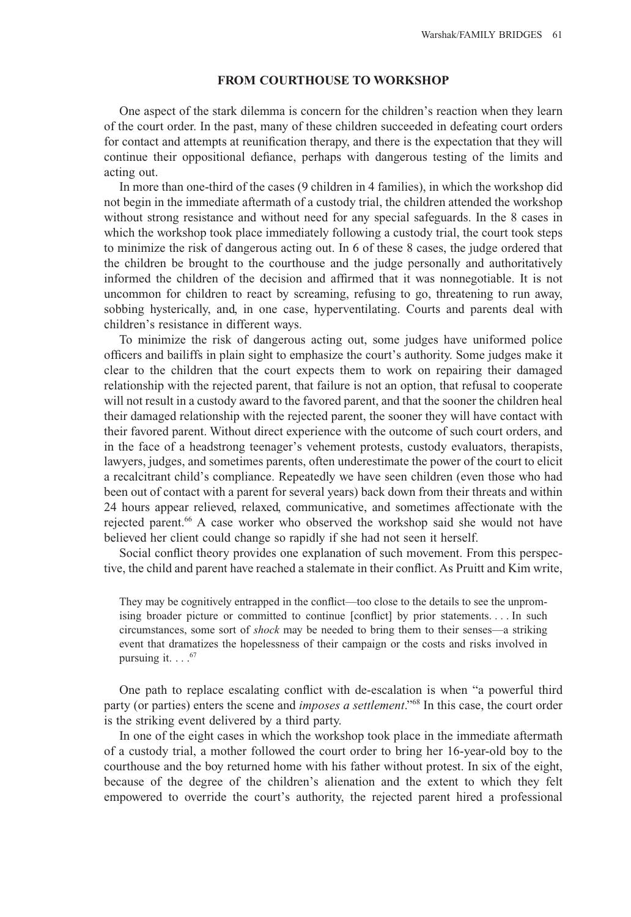#### **FROM COURTHOUSE TO WORKSHOP**

One aspect of the stark dilemma is concern for the children's reaction when they learn of the court order. In the past, many of these children succeeded in defeating court orders for contact and attempts at reunification therapy, and there is the expectation that they will continue their oppositional defiance, perhaps with dangerous testing of the limits and acting out.

In more than one-third of the cases (9 children in 4 families), in which the workshop did not begin in the immediate aftermath of a custody trial, the children attended the workshop without strong resistance and without need for any special safeguards. In the 8 cases in which the workshop took place immediately following a custody trial, the court took steps to minimize the risk of dangerous acting out. In 6 of these 8 cases, the judge ordered that the children be brought to the courthouse and the judge personally and authoritatively informed the children of the decision and affirmed that it was nonnegotiable. It is not uncommon for children to react by screaming, refusing to go, threatening to run away, sobbing hysterically, and, in one case, hyperventilating. Courts and parents deal with children's resistance in different ways.

To minimize the risk of dangerous acting out, some judges have uniformed police officers and bailiffs in plain sight to emphasize the court's authority. Some judges make it clear to the children that the court expects them to work on repairing their damaged relationship with the rejected parent, that failure is not an option, that refusal to cooperate will not result in a custody award to the favored parent, and that the sooner the children heal their damaged relationship with the rejected parent, the sooner they will have contact with their favored parent. Without direct experience with the outcome of such court orders, and in the face of a headstrong teenager's vehement protests, custody evaluators, therapists, lawyers, judges, and sometimes parents, often underestimate the power of the court to elicit a recalcitrant child's compliance. Repeatedly we have seen children (even those who had been out of contact with a parent for several years) back down from their threats and within 24 hours appear relieved, relaxed, communicative, and sometimes affectionate with the rejected parent.<sup>66</sup> A case worker who observed the workshop said she would not have believed her client could change so rapidly if she had not seen it herself.

Social conflict theory provides one explanation of such movement. From this perspective, the child and parent have reached a stalemate in their conflict. As Pruitt and Kim write,

They may be cognitively entrapped in the conflict—too close to the details to see the unpromising broader picture or committed to continue [conflict] by prior statements. . . . In such circumstances, some sort of *shock* may be needed to bring them to their senses—a striking event that dramatizes the hopelessness of their campaign or the costs and risks involved in pursuing it.  $\ldots$ .<sup>67</sup>

One path to replace escalating conflict with de-escalation is when "a powerful third party (or parties) enters the scene and *imposes a settlement*."68 In this case, the court order is the striking event delivered by a third party.

In one of the eight cases in which the workshop took place in the immediate aftermath of a custody trial, a mother followed the court order to bring her 16-year-old boy to the courthouse and the boy returned home with his father without protest. In six of the eight, because of the degree of the children's alienation and the extent to which they felt empowered to override the court's authority, the rejected parent hired a professional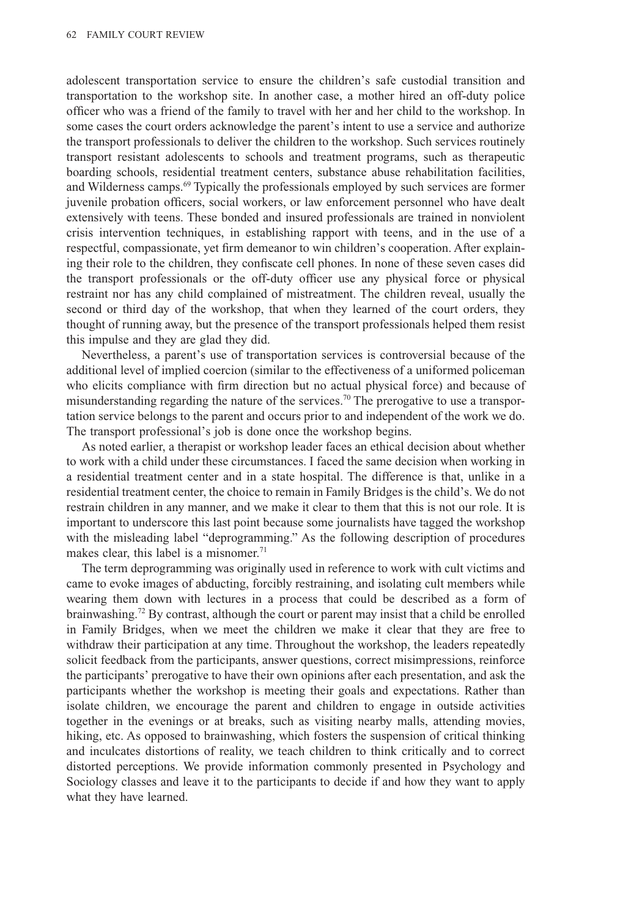adolescent transportation service to ensure the children's safe custodial transition and transportation to the workshop site. In another case, a mother hired an off-duty police officer who was a friend of the family to travel with her and her child to the workshop. In some cases the court orders acknowledge the parent's intent to use a service and authorize the transport professionals to deliver the children to the workshop. Such services routinely transport resistant adolescents to schools and treatment programs, such as therapeutic boarding schools, residential treatment centers, substance abuse rehabilitation facilities, and Wilderness camps.<sup>69</sup> Typically the professionals employed by such services are former juvenile probation officers, social workers, or law enforcement personnel who have dealt extensively with teens. These bonded and insured professionals are trained in nonviolent crisis intervention techniques, in establishing rapport with teens, and in the use of a respectful, compassionate, yet firm demeanor to win children's cooperation. After explaining their role to the children, they confiscate cell phones. In none of these seven cases did the transport professionals or the off-duty officer use any physical force or physical restraint nor has any child complained of mistreatment. The children reveal, usually the second or third day of the workshop, that when they learned of the court orders, they thought of running away, but the presence of the transport professionals helped them resist this impulse and they are glad they did.

Nevertheless, a parent's use of transportation services is controversial because of the additional level of implied coercion (similar to the effectiveness of a uniformed policeman who elicits compliance with firm direction but no actual physical force) and because of misunderstanding regarding the nature of the services.<sup>70</sup> The prerogative to use a transportation service belongs to the parent and occurs prior to and independent of the work we do. The transport professional's job is done once the workshop begins.

As noted earlier, a therapist or workshop leader faces an ethical decision about whether to work with a child under these circumstances. I faced the same decision when working in a residential treatment center and in a state hospital. The difference is that, unlike in a residential treatment center, the choice to remain in Family Bridges is the child's. We do not restrain children in any manner, and we make it clear to them that this is not our role. It is important to underscore this last point because some journalists have tagged the workshop with the misleading label "deprogramming." As the following description of procedures makes clear, this label is a misnomer.<sup>71</sup>

The term deprogramming was originally used in reference to work with cult victims and came to evoke images of abducting, forcibly restraining, and isolating cult members while wearing them down with lectures in a process that could be described as a form of brainwashing.<sup>72</sup> By contrast, although the court or parent may insist that a child be enrolled in Family Bridges, when we meet the children we make it clear that they are free to withdraw their participation at any time. Throughout the workshop, the leaders repeatedly solicit feedback from the participants, answer questions, correct misimpressions, reinforce the participants' prerogative to have their own opinions after each presentation, and ask the participants whether the workshop is meeting their goals and expectations. Rather than isolate children, we encourage the parent and children to engage in outside activities together in the evenings or at breaks, such as visiting nearby malls, attending movies, hiking, etc. As opposed to brainwashing, which fosters the suspension of critical thinking and inculcates distortions of reality, we teach children to think critically and to correct distorted perceptions. We provide information commonly presented in Psychology and Sociology classes and leave it to the participants to decide if and how they want to apply what they have learned.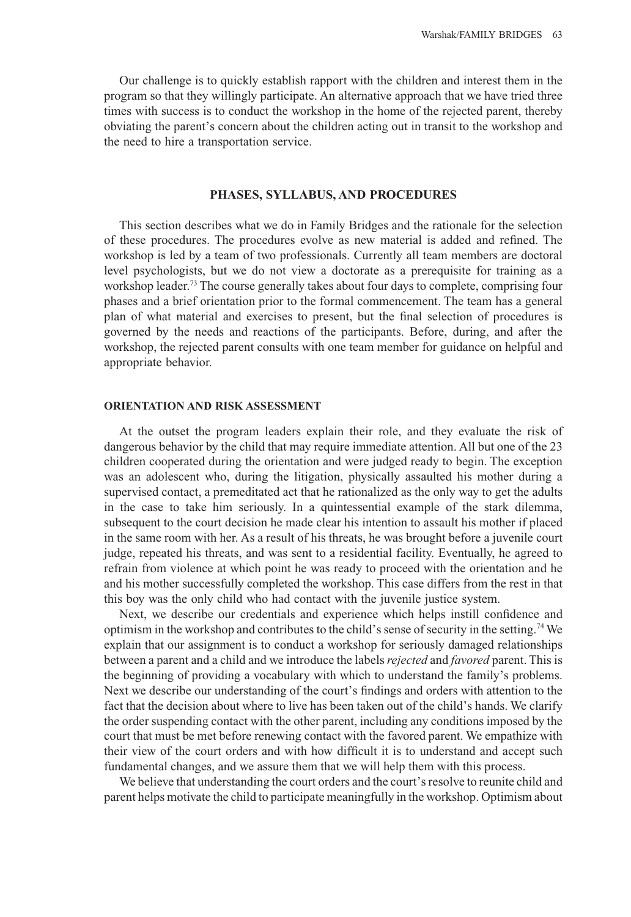Our challenge is to quickly establish rapport with the children and interest them in the program so that they willingly participate. An alternative approach that we have tried three times with success is to conduct the workshop in the home of the rejected parent, thereby obviating the parent's concern about the children acting out in transit to the workshop and the need to hire a transportation service.

#### **PHASES, SYLLABUS, AND PROCEDURES**

This section describes what we do in Family Bridges and the rationale for the selection of these procedures. The procedures evolve as new material is added and refined. The workshop is led by a team of two professionals. Currently all team members are doctoral level psychologists, but we do not view a doctorate as a prerequisite for training as a workshop leader.<sup>73</sup> The course generally takes about four days to complete, comprising four phases and a brief orientation prior to the formal commencement. The team has a general plan of what material and exercises to present, but the final selection of procedures is governed by the needs and reactions of the participants. Before, during, and after the workshop, the rejected parent consults with one team member for guidance on helpful and appropriate behavior.

#### **ORIENTATION AND RISK ASSESSMENT**

At the outset the program leaders explain their role, and they evaluate the risk of dangerous behavior by the child that may require immediate attention. All but one of the 23 children cooperated during the orientation and were judged ready to begin. The exception was an adolescent who, during the litigation, physically assaulted his mother during a supervised contact, a premeditated act that he rationalized as the only way to get the adults in the case to take him seriously. In a quintessential example of the stark dilemma, subsequent to the court decision he made clear his intention to assault his mother if placed in the same room with her. As a result of his threats, he was brought before a juvenile court judge, repeated his threats, and was sent to a residential facility. Eventually, he agreed to refrain from violence at which point he was ready to proceed with the orientation and he and his mother successfully completed the workshop. This case differs from the rest in that this boy was the only child who had contact with the juvenile justice system.

Next, we describe our credentials and experience which helps instill confidence and optimism in the workshop and contributes to the child's sense of security in the setting.<sup>74</sup> We explain that our assignment is to conduct a workshop for seriously damaged relationships between a parent and a child and we introduce the labels *rejected* and *favored* parent. This is the beginning of providing a vocabulary with which to understand the family's problems. Next we describe our understanding of the court's findings and orders with attention to the fact that the decision about where to live has been taken out of the child's hands. We clarify the order suspending contact with the other parent, including any conditions imposed by the court that must be met before renewing contact with the favored parent. We empathize with their view of the court orders and with how difficult it is to understand and accept such fundamental changes, and we assure them that we will help them with this process.

We believe that understanding the court orders and the court's resolve to reunite child and parent helps motivate the child to participate meaningfully in the workshop. Optimism about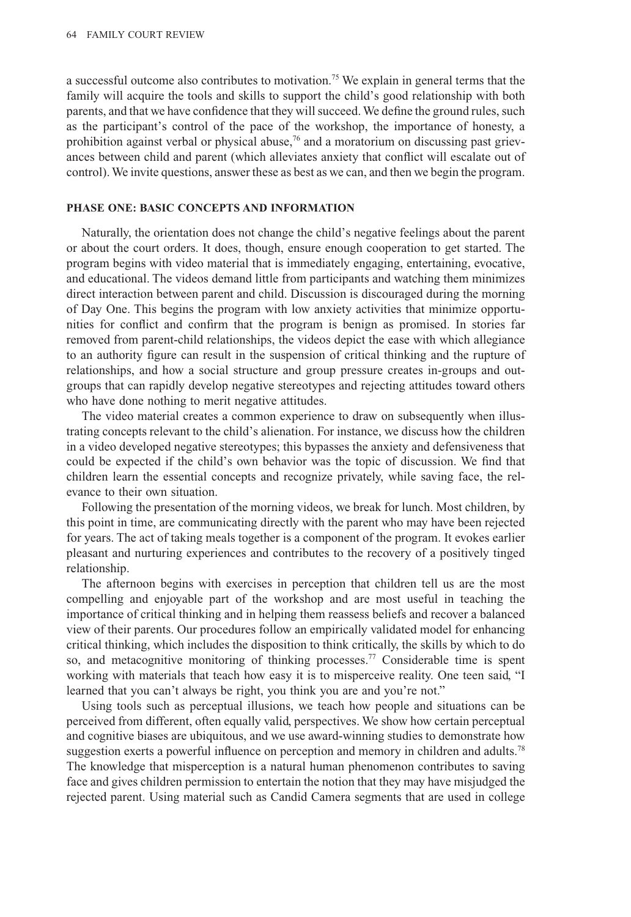a successful outcome also contributes to motivation.75 We explain in general terms that the family will acquire the tools and skills to support the child's good relationship with both parents, and that we have confidence that they will succeed.We define the ground rules, such as the participant's control of the pace of the workshop, the importance of honesty, a prohibition against verbal or physical abuse,<sup>76</sup> and a moratorium on discussing past grievances between child and parent (which alleviates anxiety that conflict will escalate out of control).We invite questions, answer these as best as we can, and then we begin the program.

#### **PHASE ONE: BASIC CONCEPTS AND INFORMATION**

Naturally, the orientation does not change the child's negative feelings about the parent or about the court orders. It does, though, ensure enough cooperation to get started. The program begins with video material that is immediately engaging, entertaining, evocative, and educational. The videos demand little from participants and watching them minimizes direct interaction between parent and child. Discussion is discouraged during the morning of Day One. This begins the program with low anxiety activities that minimize opportunities for conflict and confirm that the program is benign as promised. In stories far removed from parent-child relationships, the videos depict the ease with which allegiance to an authority figure can result in the suspension of critical thinking and the rupture of relationships, and how a social structure and group pressure creates in-groups and outgroups that can rapidly develop negative stereotypes and rejecting attitudes toward others who have done nothing to merit negative attitudes.

The video material creates a common experience to draw on subsequently when illustrating concepts relevant to the child's alienation. For instance, we discuss how the children in a video developed negative stereotypes; this bypasses the anxiety and defensiveness that could be expected if the child's own behavior was the topic of discussion. We find that children learn the essential concepts and recognize privately, while saving face, the relevance to their own situation.

Following the presentation of the morning videos, we break for lunch. Most children, by this point in time, are communicating directly with the parent who may have been rejected for years. The act of taking meals together is a component of the program. It evokes earlier pleasant and nurturing experiences and contributes to the recovery of a positively tinged relationship.

The afternoon begins with exercises in perception that children tell us are the most compelling and enjoyable part of the workshop and are most useful in teaching the importance of critical thinking and in helping them reassess beliefs and recover a balanced view of their parents. Our procedures follow an empirically validated model for enhancing critical thinking, which includes the disposition to think critically, the skills by which to do so, and metacognitive monitoring of thinking processes.<sup>77</sup> Considerable time is spent working with materials that teach how easy it is to misperceive reality. One teen said, "I learned that you can't always be right, you think you are and you're not."

Using tools such as perceptual illusions, we teach how people and situations can be perceived from different, often equally valid, perspectives. We show how certain perceptual and cognitive biases are ubiquitous, and we use award-winning studies to demonstrate how suggestion exerts a powerful influence on perception and memory in children and adults.<sup>78</sup> The knowledge that misperception is a natural human phenomenon contributes to saving face and gives children permission to entertain the notion that they may have misjudged the rejected parent. Using material such as Candid Camera segments that are used in college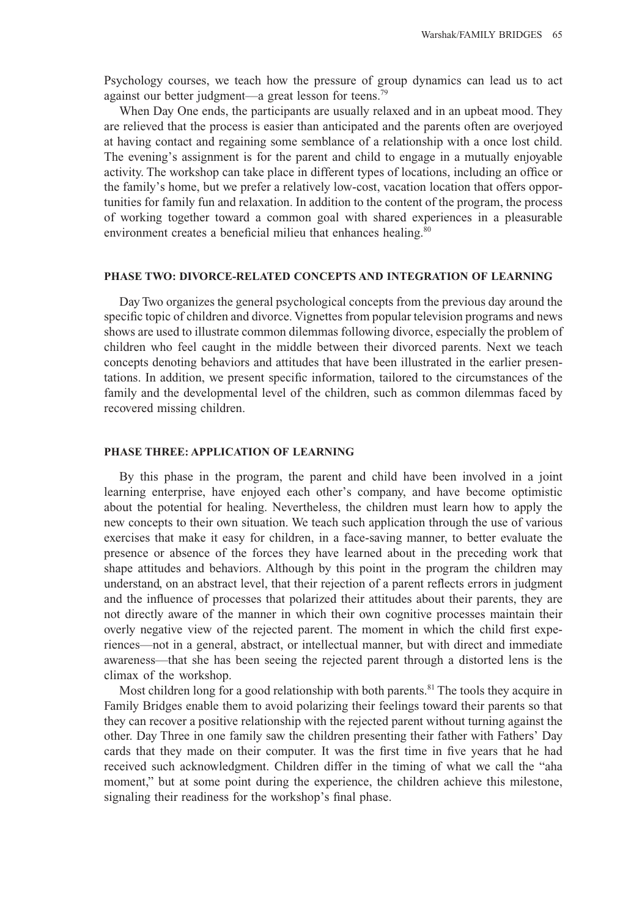Psychology courses, we teach how the pressure of group dynamics can lead us to act against our better judgment—a great lesson for teens.79

When Day One ends, the participants are usually relaxed and in an upbeat mood. They are relieved that the process is easier than anticipated and the parents often are overjoyed at having contact and regaining some semblance of a relationship with a once lost child. The evening's assignment is for the parent and child to engage in a mutually enjoyable activity. The workshop can take place in different types of locations, including an office or the family's home, but we prefer a relatively low-cost, vacation location that offers opportunities for family fun and relaxation. In addition to the content of the program, the process of working together toward a common goal with shared experiences in a pleasurable environment creates a beneficial milieu that enhances healing.<sup>80</sup>

#### **PHASE TWO: DIVORCE-RELATED CONCEPTS AND INTEGRATION OF LEARNING**

Day Two organizes the general psychological concepts from the previous day around the specific topic of children and divorce. Vignettes from popular television programs and news shows are used to illustrate common dilemmas following divorce, especially the problem of children who feel caught in the middle between their divorced parents. Next we teach concepts denoting behaviors and attitudes that have been illustrated in the earlier presentations. In addition, we present specific information, tailored to the circumstances of the family and the developmental level of the children, such as common dilemmas faced by recovered missing children.

#### **PHASE THREE: APPLICATION OF LEARNING**

By this phase in the program, the parent and child have been involved in a joint learning enterprise, have enjoyed each other's company, and have become optimistic about the potential for healing. Nevertheless, the children must learn how to apply the new concepts to their own situation. We teach such application through the use of various exercises that make it easy for children, in a face-saving manner, to better evaluate the presence or absence of the forces they have learned about in the preceding work that shape attitudes and behaviors. Although by this point in the program the children may understand, on an abstract level, that their rejection of a parent reflects errors in judgment and the influence of processes that polarized their attitudes about their parents, they are not directly aware of the manner in which their own cognitive processes maintain their overly negative view of the rejected parent. The moment in which the child first experiences—not in a general, abstract, or intellectual manner, but with direct and immediate awareness—that she has been seeing the rejected parent through a distorted lens is the climax of the workshop.

Most children long for a good relationship with both parents.<sup>81</sup> The tools they acquire in Family Bridges enable them to avoid polarizing their feelings toward their parents so that they can recover a positive relationship with the rejected parent without turning against the other. Day Three in one family saw the children presenting their father with Fathers' Day cards that they made on their computer. It was the first time in five years that he had received such acknowledgment. Children differ in the timing of what we call the "aha moment," but at some point during the experience, the children achieve this milestone, signaling their readiness for the workshop's final phase.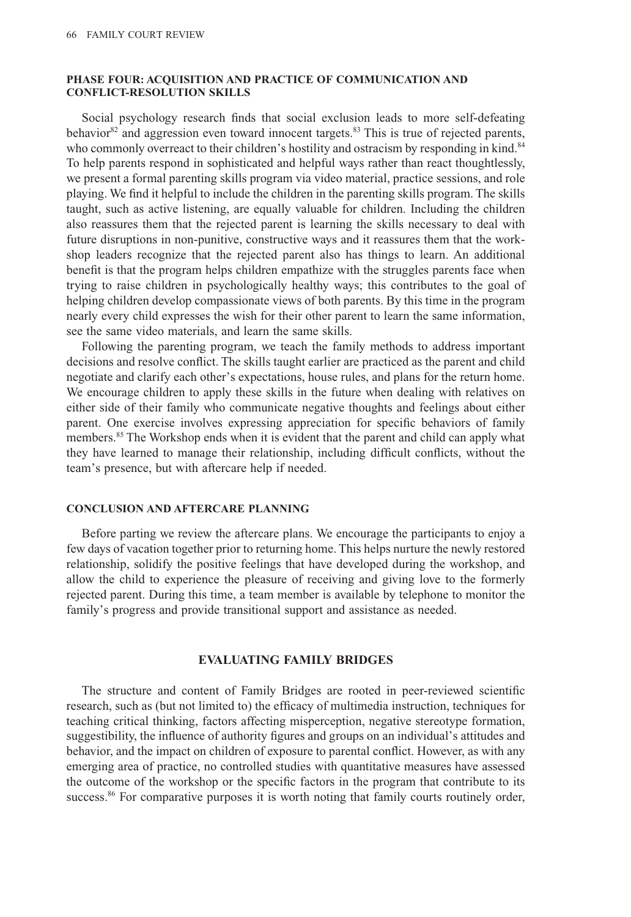## **PHASE FOUR: ACQUISITION AND PRACTICE OF COMMUNICATION AND CONFLICT-RESOLUTION SKILLS**

Social psychology research finds that social exclusion leads to more self-defeating behavior $82$  and aggression even toward innocent targets. $83$  This is true of rejected parents, who commonly overreact to their children's hostility and ostracism by responding in kind.<sup>84</sup> To help parents respond in sophisticated and helpful ways rather than react thoughtlessly, we present a formal parenting skills program via video material, practice sessions, and role playing. We find it helpful to include the children in the parenting skills program. The skills taught, such as active listening, are equally valuable for children. Including the children also reassures them that the rejected parent is learning the skills necessary to deal with future disruptions in non-punitive, constructive ways and it reassures them that the workshop leaders recognize that the rejected parent also has things to learn. An additional benefit is that the program helps children empathize with the struggles parents face when trying to raise children in psychologically healthy ways; this contributes to the goal of helping children develop compassionate views of both parents. By this time in the program nearly every child expresses the wish for their other parent to learn the same information, see the same video materials, and learn the same skills.

Following the parenting program, we teach the family methods to address important decisions and resolve conflict. The skills taught earlier are practiced as the parent and child negotiate and clarify each other's expectations, house rules, and plans for the return home. We encourage children to apply these skills in the future when dealing with relatives on either side of their family who communicate negative thoughts and feelings about either parent. One exercise involves expressing appreciation for specific behaviors of family members.<sup>85</sup> The Workshop ends when it is evident that the parent and child can apply what they have learned to manage their relationship, including difficult conflicts, without the team's presence, but with aftercare help if needed.

#### **CONCLUSION AND AFTERCARE PLANNING**

Before parting we review the aftercare plans. We encourage the participants to enjoy a few days of vacation together prior to returning home. This helps nurture the newly restored relationship, solidify the positive feelings that have developed during the workshop, and allow the child to experience the pleasure of receiving and giving love to the formerly rejected parent. During this time, a team member is available by telephone to monitor the family's progress and provide transitional support and assistance as needed.

## **EVALUATING FAMILY BRIDGES**

The structure and content of Family Bridges are rooted in peer-reviewed scientific research, such as (but not limited to) the efficacy of multimedia instruction, techniques for teaching critical thinking, factors affecting misperception, negative stereotype formation, suggestibility, the influence of authority figures and groups on an individual's attitudes and behavior, and the impact on children of exposure to parental conflict. However, as with any emerging area of practice, no controlled studies with quantitative measures have assessed the outcome of the workshop or the specific factors in the program that contribute to its success.<sup>86</sup> For comparative purposes it is worth noting that family courts routinely order,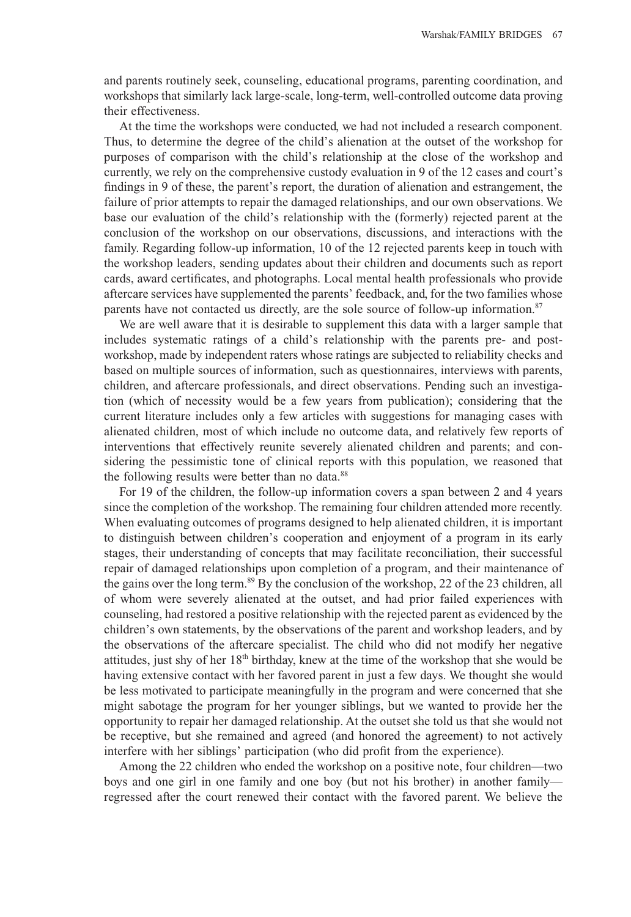and parents routinely seek, counseling, educational programs, parenting coordination, and workshops that similarly lack large-scale, long-term, well-controlled outcome data proving their effectiveness.

At the time the workshops were conducted, we had not included a research component. Thus, to determine the degree of the child's alienation at the outset of the workshop for purposes of comparison with the child's relationship at the close of the workshop and currently, we rely on the comprehensive custody evaluation in 9 of the 12 cases and court's findings in 9 of these, the parent's report, the duration of alienation and estrangement, the failure of prior attempts to repair the damaged relationships, and our own observations. We base our evaluation of the child's relationship with the (formerly) rejected parent at the conclusion of the workshop on our observations, discussions, and interactions with the family. Regarding follow-up information, 10 of the 12 rejected parents keep in touch with the workshop leaders, sending updates about their children and documents such as report cards, award certificates, and photographs. Local mental health professionals who provide aftercare services have supplemented the parents' feedback, and, for the two families whose parents have not contacted us directly, are the sole source of follow-up information.<sup>87</sup>

We are well aware that it is desirable to supplement this data with a larger sample that includes systematic ratings of a child's relationship with the parents pre- and postworkshop, made by independent raters whose ratings are subjected to reliability checks and based on multiple sources of information, such as questionnaires, interviews with parents, children, and aftercare professionals, and direct observations. Pending such an investigation (which of necessity would be a few years from publication); considering that the current literature includes only a few articles with suggestions for managing cases with alienated children, most of which include no outcome data, and relatively few reports of interventions that effectively reunite severely alienated children and parents; and considering the pessimistic tone of clinical reports with this population, we reasoned that the following results were better than no data.<sup>88</sup>

For 19 of the children, the follow-up information covers a span between 2 and 4 years since the completion of the workshop. The remaining four children attended more recently. When evaluating outcomes of programs designed to help alienated children, it is important to distinguish between children's cooperation and enjoyment of a program in its early stages, their understanding of concepts that may facilitate reconciliation, their successful repair of damaged relationships upon completion of a program, and their maintenance of the gains over the long term.<sup>89</sup> By the conclusion of the workshop, 22 of the 23 children, all of whom were severely alienated at the outset, and had prior failed experiences with counseling, had restored a positive relationship with the rejected parent as evidenced by the children's own statements, by the observations of the parent and workshop leaders, and by the observations of the aftercare specialist. The child who did not modify her negative attitudes, just shy of her 18<sup>th</sup> birthday, knew at the time of the workshop that she would be having extensive contact with her favored parent in just a few days. We thought she would be less motivated to participate meaningfully in the program and were concerned that she might sabotage the program for her younger siblings, but we wanted to provide her the opportunity to repair her damaged relationship. At the outset she told us that she would not be receptive, but she remained and agreed (and honored the agreement) to not actively interfere with her siblings' participation (who did profit from the experience).

Among the 22 children who ended the workshop on a positive note, four children—two boys and one girl in one family and one boy (but not his brother) in another family regressed after the court renewed their contact with the favored parent. We believe the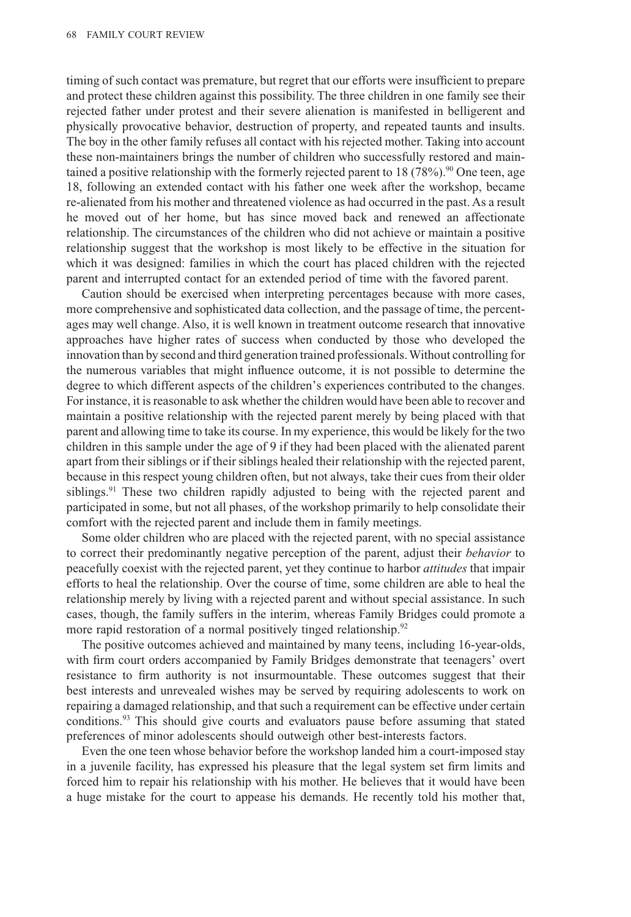timing of such contact was premature, but regret that our efforts were insufficient to prepare and protect these children against this possibility. The three children in one family see their rejected father under protest and their severe alienation is manifested in belligerent and physically provocative behavior, destruction of property, and repeated taunts and insults. The boy in the other family refuses all contact with his rejected mother. Taking into account these non-maintainers brings the number of children who successfully restored and maintained a positive relationship with the formerly rejected parent to 18 (78%).<sup>90</sup> One teen, age 18, following an extended contact with his father one week after the workshop, became re-alienated from his mother and threatened violence as had occurred in the past. As a result he moved out of her home, but has since moved back and renewed an affectionate relationship. The circumstances of the children who did not achieve or maintain a positive relationship suggest that the workshop is most likely to be effective in the situation for which it was designed: families in which the court has placed children with the rejected parent and interrupted contact for an extended period of time with the favored parent.

Caution should be exercised when interpreting percentages because with more cases, more comprehensive and sophisticated data collection, and the passage of time, the percentages may well change. Also, it is well known in treatment outcome research that innovative approaches have higher rates of success when conducted by those who developed the innovation than by second and third generation trained professionals.Without controlling for the numerous variables that might influence outcome, it is not possible to determine the degree to which different aspects of the children's experiences contributed to the changes. For instance, it is reasonable to ask whether the children would have been able to recover and maintain a positive relationship with the rejected parent merely by being placed with that parent and allowing time to take its course. In my experience, this would be likely for the two children in this sample under the age of 9 if they had been placed with the alienated parent apart from their siblings or if their siblings healed their relationship with the rejected parent, because in this respect young children often, but not always, take their cues from their older siblings.<sup>91</sup> These two children rapidly adjusted to being with the rejected parent and participated in some, but not all phases, of the workshop primarily to help consolidate their comfort with the rejected parent and include them in family meetings.

Some older children who are placed with the rejected parent, with no special assistance to correct their predominantly negative perception of the parent, adjust their *behavior* to peacefully coexist with the rejected parent, yet they continue to harbor *attitudes* that impair efforts to heal the relationship. Over the course of time, some children are able to heal the relationship merely by living with a rejected parent and without special assistance. In such cases, though, the family suffers in the interim, whereas Family Bridges could promote a more rapid restoration of a normal positively tinged relationship.<sup>92</sup>

The positive outcomes achieved and maintained by many teens, including 16-year-olds, with firm court orders accompanied by Family Bridges demonstrate that teenagers' overt resistance to firm authority is not insurmountable. These outcomes suggest that their best interests and unrevealed wishes may be served by requiring adolescents to work on repairing a damaged relationship, and that such a requirement can be effective under certain conditions.93 This should give courts and evaluators pause before assuming that stated preferences of minor adolescents should outweigh other best-interests factors.

Even the one teen whose behavior before the workshop landed him a court-imposed stay in a juvenile facility, has expressed his pleasure that the legal system set firm limits and forced him to repair his relationship with his mother. He believes that it would have been a huge mistake for the court to appease his demands. He recently told his mother that,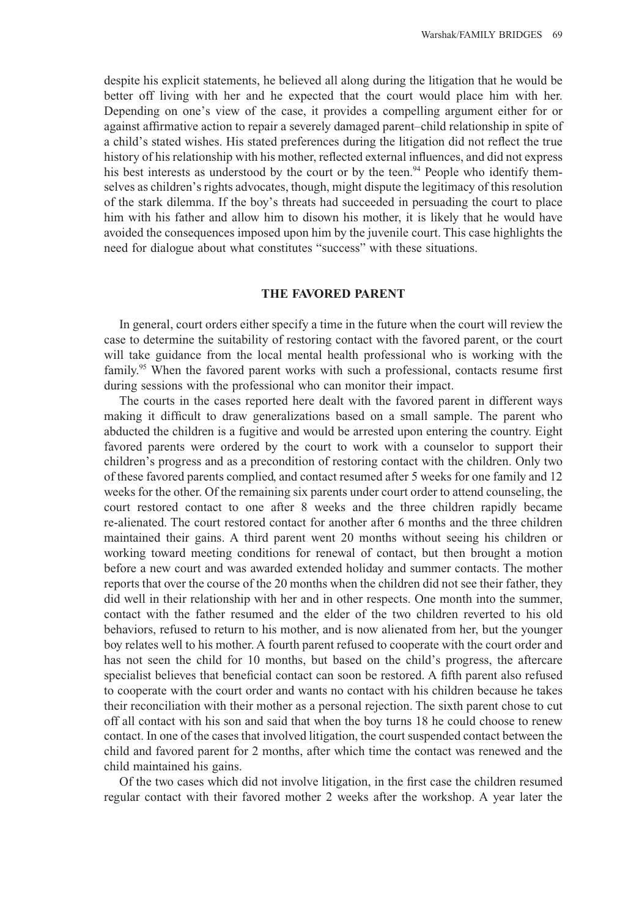despite his explicit statements, he believed all along during the litigation that he would be better off living with her and he expected that the court would place him with her. Depending on one's view of the case, it provides a compelling argument either for or against affirmative action to repair a severely damaged parent–child relationship in spite of a child's stated wishes. His stated preferences during the litigation did not reflect the true history of his relationship with his mother, reflected external influences, and did not express his best interests as understood by the court or by the teen.<sup>94</sup> People who identify themselves as children's rights advocates, though, might dispute the legitimacy of this resolution of the stark dilemma. If the boy's threats had succeeded in persuading the court to place him with his father and allow him to disown his mother, it is likely that he would have avoided the consequences imposed upon him by the juvenile court. This case highlights the need for dialogue about what constitutes "success" with these situations.

#### **THE FAVORED PARENT**

In general, court orders either specify a time in the future when the court will review the case to determine the suitability of restoring contact with the favored parent, or the court will take guidance from the local mental health professional who is working with the family.<sup>95</sup> When the favored parent works with such a professional, contacts resume first during sessions with the professional who can monitor their impact.

The courts in the cases reported here dealt with the favored parent in different ways making it difficult to draw generalizations based on a small sample. The parent who abducted the children is a fugitive and would be arrested upon entering the country. Eight favored parents were ordered by the court to work with a counselor to support their children's progress and as a precondition of restoring contact with the children. Only two of these favored parents complied, and contact resumed after 5 weeks for one family and 12 weeks for the other. Of the remaining six parents under court order to attend counseling, the court restored contact to one after 8 weeks and the three children rapidly became re-alienated. The court restored contact for another after 6 months and the three children maintained their gains. A third parent went 20 months without seeing his children or working toward meeting conditions for renewal of contact, but then brought a motion before a new court and was awarded extended holiday and summer contacts. The mother reports that over the course of the 20 months when the children did not see their father, they did well in their relationship with her and in other respects. One month into the summer, contact with the father resumed and the elder of the two children reverted to his old behaviors, refused to return to his mother, and is now alienated from her, but the younger boy relates well to his mother. A fourth parent refused to cooperate with the court order and has not seen the child for 10 months, but based on the child's progress, the aftercare specialist believes that beneficial contact can soon be restored. A fifth parent also refused to cooperate with the court order and wants no contact with his children because he takes their reconciliation with their mother as a personal rejection. The sixth parent chose to cut off all contact with his son and said that when the boy turns 18 he could choose to renew contact. In one of the cases that involved litigation, the court suspended contact between the child and favored parent for 2 months, after which time the contact was renewed and the child maintained his gains.

Of the two cases which did not involve litigation, in the first case the children resumed regular contact with their favored mother 2 weeks after the workshop. A year later the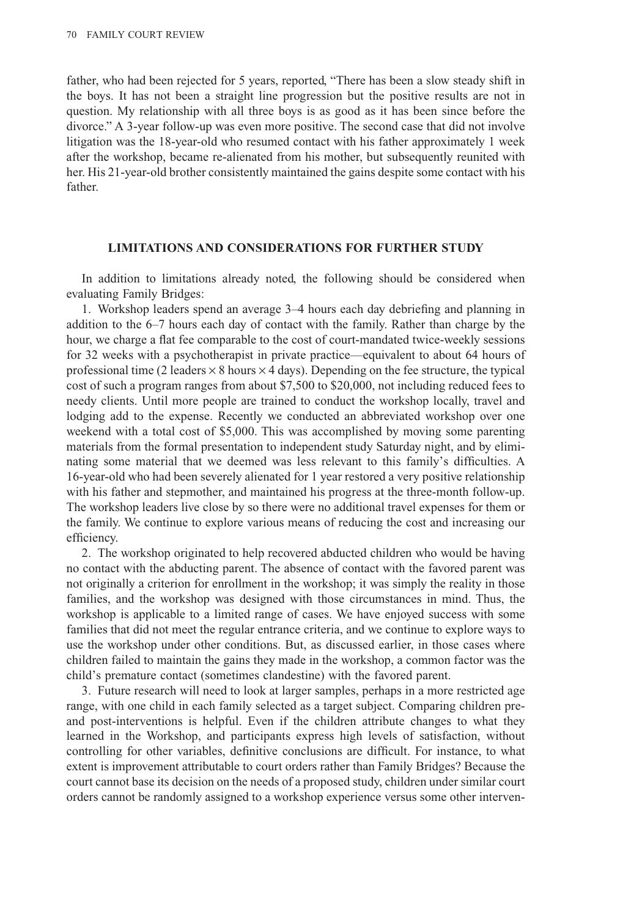father, who had been rejected for 5 years, reported, "There has been a slow steady shift in the boys. It has not been a straight line progression but the positive results are not in question. My relationship with all three boys is as good as it has been since before the divorce." A 3-year follow-up was even more positive. The second case that did not involve litigation was the 18-year-old who resumed contact with his father approximately 1 week after the workshop, became re-alienated from his mother, but subsequently reunited with her. His 21-year-old brother consistently maintained the gains despite some contact with his father.

#### **LIMITATIONS AND CONSIDERATIONS FOR FURTHER STUDY**

In addition to limitations already noted, the following should be considered when evaluating Family Bridges:

1. Workshop leaders spend an average 3–4 hours each day debriefing and planning in addition to the 6–7 hours each day of contact with the family. Rather than charge by the hour, we charge a flat fee comparable to the cost of court-mandated twice-weekly sessions for 32 weeks with a psychotherapist in private practice—equivalent to about 64 hours of professional time (2 leaders  $\times$  8 hours  $\times$  4 days). Depending on the fee structure, the typical cost of such a program ranges from about \$7,500 to \$20,000, not including reduced fees to needy clients. Until more people are trained to conduct the workshop locally, travel and lodging add to the expense. Recently we conducted an abbreviated workshop over one weekend with a total cost of \$5,000. This was accomplished by moving some parenting materials from the formal presentation to independent study Saturday night, and by eliminating some material that we deemed was less relevant to this family's difficulties. A 16-year-old who had been severely alienated for 1 year restored a very positive relationship with his father and stepmother, and maintained his progress at the three-month follow-up. The workshop leaders live close by so there were no additional travel expenses for them or the family. We continue to explore various means of reducing the cost and increasing our efficiency.

2. The workshop originated to help recovered abducted children who would be having no contact with the abducting parent. The absence of contact with the favored parent was not originally a criterion for enrollment in the workshop; it was simply the reality in those families, and the workshop was designed with those circumstances in mind. Thus, the workshop is applicable to a limited range of cases. We have enjoyed success with some families that did not meet the regular entrance criteria, and we continue to explore ways to use the workshop under other conditions. But, as discussed earlier, in those cases where children failed to maintain the gains they made in the workshop, a common factor was the child's premature contact (sometimes clandestine) with the favored parent.

3. Future research will need to look at larger samples, perhaps in a more restricted age range, with one child in each family selected as a target subject. Comparing children preand post-interventions is helpful. Even if the children attribute changes to what they learned in the Workshop, and participants express high levels of satisfaction, without controlling for other variables, definitive conclusions are difficult. For instance, to what extent is improvement attributable to court orders rather than Family Bridges? Because the court cannot base its decision on the needs of a proposed study, children under similar court orders cannot be randomly assigned to a workshop experience versus some other interven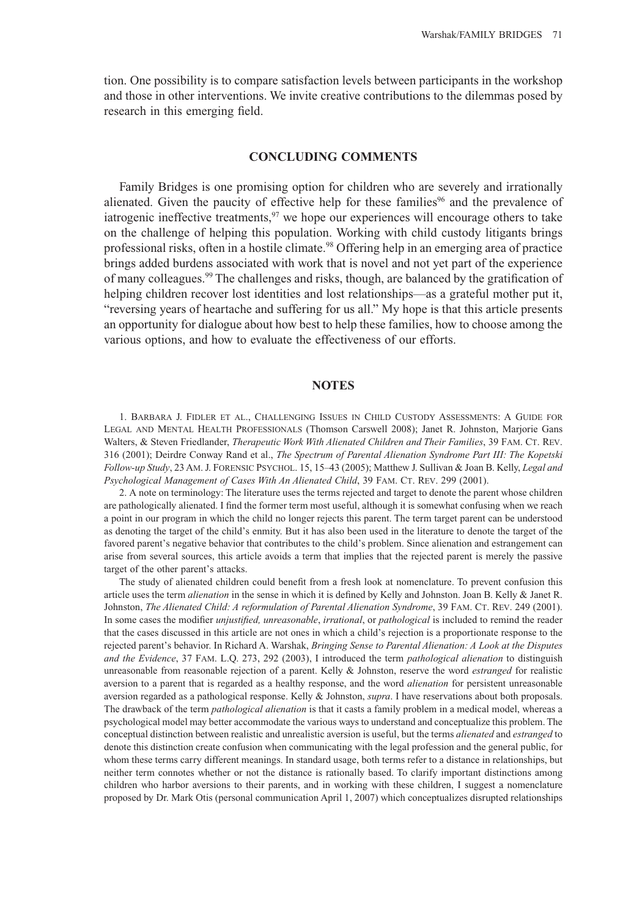tion. One possibility is to compare satisfaction levels between participants in the workshop and those in other interventions. We invite creative contributions to the dilemmas posed by research in this emerging field.

#### **CONCLUDING COMMENTS**

Family Bridges is one promising option for children who are severely and irrationally alienated. Given the paucity of effective help for these families<sup>96</sup> and the prevalence of iatrogenic ineffective treatments,<sup>97</sup> we hope our experiences will encourage others to take on the challenge of helping this population. Working with child custody litigants brings professional risks, often in a hostile climate.<sup>98</sup> Offering help in an emerging area of practice brings added burdens associated with work that is novel and not yet part of the experience of many colleagues.<sup>99</sup> The challenges and risks, though, are balanced by the gratification of helping children recover lost identities and lost relationships—as a grateful mother put it, "reversing years of heartache and suffering for us all." My hope is that this article presents an opportunity for dialogue about how best to help these families, how to choose among the various options, and how to evaluate the effectiveness of our efforts.

#### **NOTES**

1. BARBARA J. FIDLER ET AL., CHALLENGING ISSUES IN CHILD CUSTODY ASSESSMENTS: A GUIDE FOR LEGAL AND MENTAL HEALTH PROFESSIONALS (Thomson Carswell 2008); Janet R. Johnston, Marjorie Gans Walters, & Steven Friedlander, *Therapeutic Work With Alienated Children and Their Families*, 39 FAM. CT. REV. 316 (2001); Deirdre Conway Rand et al., *The Spectrum of Parental Alienation Syndrome Part III: The Kopetski Follow-up Study*, 23 AM. J. FORENSIC PSYCHOL. 15, 15–43 (2005); Matthew J. Sullivan & Joan B. Kelly, *Legal and Psychological Management of Cases With An Alienated Child*, 39 FAM. CT. REV. 299 (2001).

2. A note on terminology: The literature uses the terms rejected and target to denote the parent whose children are pathologically alienated. I find the former term most useful, although it is somewhat confusing when we reach a point in our program in which the child no longer rejects this parent. The term target parent can be understood as denoting the target of the child's enmity. But it has also been used in the literature to denote the target of the favored parent's negative behavior that contributes to the child's problem. Since alienation and estrangement can arise from several sources, this article avoids a term that implies that the rejected parent is merely the passive target of the other parent's attacks.

The study of alienated children could benefit from a fresh look at nomenclature. To prevent confusion this article uses the term *alienation* in the sense in which it is defined by Kelly and Johnston. Joan B. Kelly & Janet R. Johnston, *The Alienated Child: A reformulation of Parental Alienation Syndrome*, 39 FAM. CT. REV. 249 (2001). In some cases the modifier *unjustified, unreasonable*, *irrational*, or *pathological* is included to remind the reader that the cases discussed in this article are not ones in which a child's rejection is a proportionate response to the rejected parent's behavior. In Richard A. Warshak, *Bringing Sense to Parental Alienation: A Look at the Disputes and the Evidence*, 37 FAM. L.Q. 273, 292 (2003), I introduced the term *pathological alienation* to distinguish unreasonable from reasonable rejection of a parent. Kelly & Johnston, reserve the word *estranged* for realistic aversion to a parent that is regarded as a healthy response, and the word *alienation* for persistent unreasonable aversion regarded as a pathological response. Kelly & Johnston, *supra*. I have reservations about both proposals. The drawback of the term *pathological alienation* is that it casts a family problem in a medical model, whereas a psychological model may better accommodate the various ways to understand and conceptualize this problem. The conceptual distinction between realistic and unrealistic aversion is useful, but the terms *alienated* and *estranged* to denote this distinction create confusion when communicating with the legal profession and the general public, for whom these terms carry different meanings. In standard usage, both terms refer to a distance in relationships, but neither term connotes whether or not the distance is rationally based. To clarify important distinctions among children who harbor aversions to their parents, and in working with these children, I suggest a nomenclature proposed by Dr. Mark Otis (personal communication April 1, 2007) which conceptualizes disrupted relationships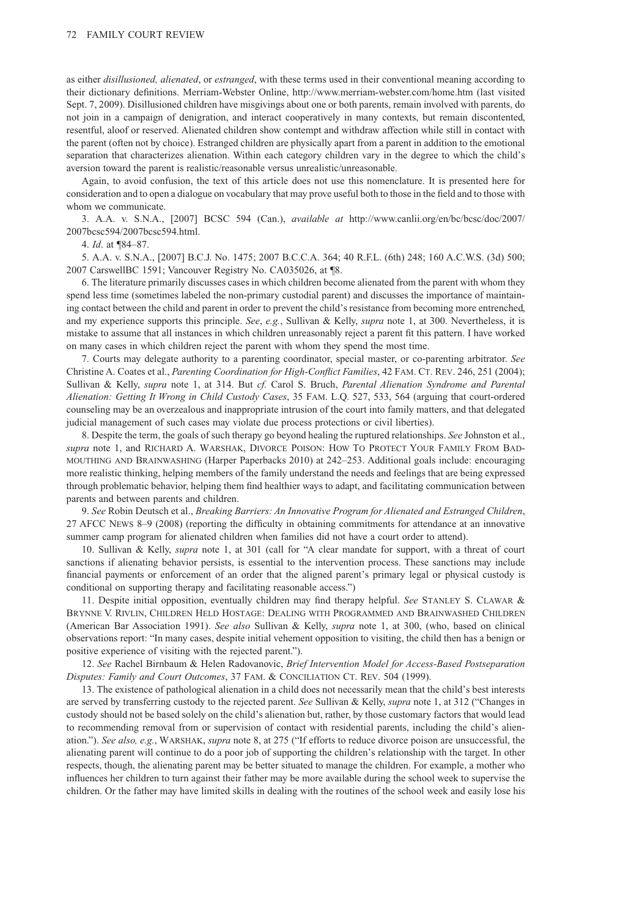as either *disillusioned, alienated*, or *estranged*, with these terms used in their conventional meaning according to their dictionary definitions. Merriam-Webster Online, http://www.merriam-webster.com/home.htm (last visited Sept. 7, 2009). Disillusioned children have misgivings about one or both parents, remain involved with parents, do not join in a campaign of denigration, and interact cooperatively in many contexts, but remain discontented, resentful, aloof or reserved. Alienated children show contempt and withdraw affection while still in contact with the parent (often not by choice). Estranged children are physically apart from a parent in addition to the emotional separation that characterizes alienation. Within each category children vary in the degree to which the child's aversion toward the parent is realistic/reasonable versus unrealistic/unreasonable.

Again, to avoid confusion, the text of this article does not use this nomenclature. It is presented here for consideration and to open a dialogue on vocabulary that may prove useful both to those in the field and to those with whom we communicate.

3. A.A. v. S.N.A., [2007] BCSC 594 (Can.), *available at* http://www.canlii.org/en/bc/bcsc/doc/2007/ 2007bcsc594/2007bcsc594.html.

4. *Id*. at ¶84–87.

5. A.A. v. S.N.A., [2007] B.C.J. No. 1475; 2007 B.C.C.A. 364; 40 R.F.L. (6th) 248; 160 A.C.W.S. (3d) 500; 2007 CarswellBC 1591; Vancouver Registry No. CA035026, at ¶8.

6. The literature primarily discusses cases in which children become alienated from the parent with whom they spend less time (sometimes labeled the non-primary custodial parent) and discusses the importance of maintaining contact between the child and parent in order to prevent the child's resistance from becoming more entrenched, and my experience supports this principle. *See*, *e.g.*, Sullivan & Kelly, *supra* note 1, at 300. Nevertheless, it is mistake to assume that all instances in which children unreasonably reject a parent fit this pattern. I have worked on many cases in which children reject the parent with whom they spend the most time.

7. Courts may delegate authority to a parenting coordinator, special master, or co-parenting arbitrator. *See* Christine A. Coates et al., *Parenting Coordination for High-Conflict Families*, 42 FAM. CT. REV. 246, 251 (2004); Sullivan & Kelly, *supra* note 1, at 314. But *cf.* Carol S. Bruch, *Parental Alienation Syndrome and Parental Alienation: Getting It Wrong in Child Custody Cases*, 35 FAM. L.Q. 527, 533, 564 (arguing that court-ordered counseling may be an overzealous and inappropriate intrusion of the court into family matters, and that delegated judicial management of such cases may violate due process protections or civil liberties).

8. Despite the term, the goals of such therapy go beyond healing the ruptured relationships. *See* Johnston et al., *supra* note 1, and RICHARD A. WARSHAK, DIVORCE POISON: HOW TO PROTECT YOUR FAMILY FROM BAD-MOUTHING AND BRAINWASHING (Harper Paperbacks 2010) at 242–253. Additional goals include: encouraging more realistic thinking, helping members of the family understand the needs and feelings that are being expressed through problematic behavior, helping them find healthier ways to adapt, and facilitating communication between parents and between parents and children.

9. *See* Robin Deutsch et al., *Breaking Barriers: An Innovative Program for Alienated and Estranged Children*, 27 AFCC NEWS 8–9 (2008) (reporting the difficulty in obtaining commitments for attendance at an innovative summer camp program for alienated children when families did not have a court order to attend).

10. Sullivan & Kelly, *supra* note 1, at 301 (call for "A clear mandate for support, with a threat of court sanctions if alienating behavior persists, is essential to the intervention process. These sanctions may include financial payments or enforcement of an order that the aligned parent's primary legal or physical custody is conditional on supporting therapy and facilitating reasonable access.")

11. Despite initial opposition, eventually children may find therapy helpful. *See* STANLEY S. CLAWAR & BRYNNE V. RIVLIN, CHILDREN HELD HOSTAGE: DEALING WITH PROGRAMMED AND BRAINWASHED CHILDREN (American Bar Association 1991). *See also* Sullivan & Kelly, *supra* note 1, at 300, (who, based on clinical observations report: "In many cases, despite initial vehement opposition to visiting, the child then has a benign or positive experience of visiting with the rejected parent.").

12. *See* Rachel Birnbaum & Helen Radovanovic, *Brief Intervention Model for Access-Based Postseparation Disputes: Family and Court Outcomes*, 37 FAM.&CONCILIATION CT. REV. 504 (1999).

13. The existence of pathological alienation in a child does not necessarily mean that the child's best interests are served by transferring custody to the rejected parent. *See* Sullivan & Kelly, *supra* note 1, at 312 ("Changes in custody should not be based solely on the child's alienation but, rather, by those customary factors that would lead to recommending removal from or supervision of contact with residential parents, including the child's alienation."). *See also, e.g.*, WARSHAK, *supra* note 8, at 275 ("If efforts to reduce divorce poison are unsuccessful, the alienating parent will continue to do a poor job of supporting the children's relationship with the target. In other respects, though, the alienating parent may be better situated to manage the children. For example, a mother who influences her children to turn against their father may be more available during the school week to supervise the children. Or the father may have limited skills in dealing with the routines of the school week and easily lose his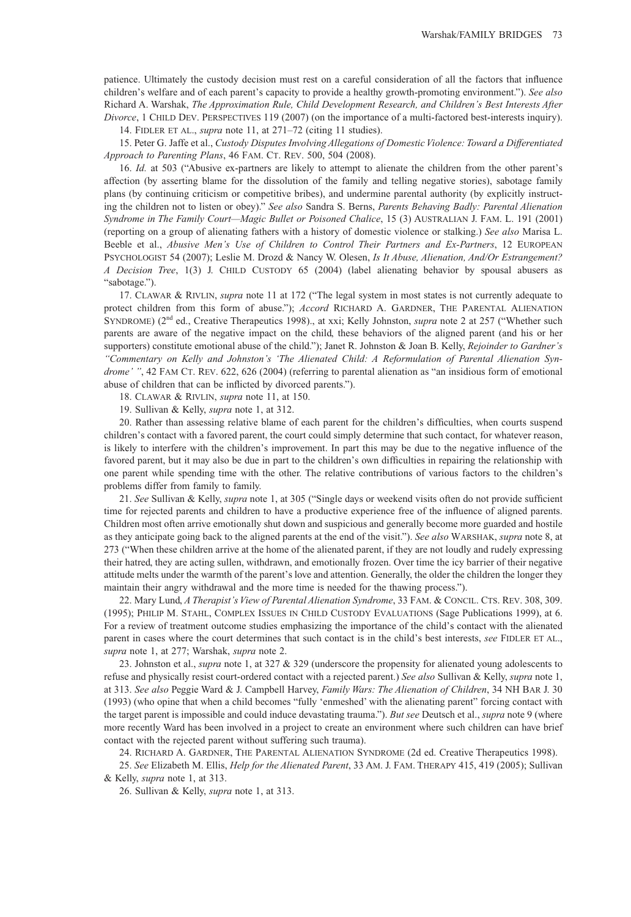patience. Ultimately the custody decision must rest on a careful consideration of all the factors that influence children's welfare and of each parent's capacity to provide a healthy growth-promoting environment."). *See also* Richard A. Warshak, *The Approximation Rule, Child Development Research, and Children's Best Interests After Divorce*, 1 CHILD DEV. PERSPECTIVES 119 (2007) (on the importance of a multi-factored best-interests inquiry).

14. FIDLER ET AL., *supra* note 11, at 271–72 (citing 11 studies).

15. Peter G. Jaffe et al., *Custody Disputes Involving Allegations of Domestic Violence: Toward a Differentiated Approach to Parenting Plans*, 46 FAM. CT. REV. 500, 504 (2008).

16. *Id.* at 503 ("Abusive ex-partners are likely to attempt to alienate the children from the other parent's affection (by asserting blame for the dissolution of the family and telling negative stories), sabotage family plans (by continuing criticism or competitive bribes), and undermine parental authority (by explicitly instructing the children not to listen or obey)." *See also* Sandra S. Berns, *Parents Behaving Badly: Parental Alienation Syndrome in The Family Court—Magic Bullet or Poisoned Chalice*, 15 (3) AUSTRALIAN J. FAM. L. 191 (2001) (reporting on a group of alienating fathers with a history of domestic violence or stalking.) *See also* Marisa L. Beeble et al., *Abusive Men's Use of Children to Control Their Partners and Ex-Partners*, 12 EUROPEAN PSYCHOLOGIST 54 (2007); Leslie M. Drozd & Nancy W. Olesen, *Is It Abuse, Alienation, And/Or Estrangement? A Decision Tree*, 1(3) J. CHILD CUSTODY 65 (2004) (label alienating behavior by spousal abusers as "sabotage.").

17. CLAWAR & RIVLIN, *supra* note 11 at 172 ("The legal system in most states is not currently adequate to protect children from this form of abuse."); *Accord* RICHARD A. GARDNER, THE PARENTAL ALIENATION SYNDROME) (2nd ed., Creative Therapeutics 1998)., at xxi; Kelly Johnston, *supra* note 2 at 257 ("Whether such parents are aware of the negative impact on the child, these behaviors of the aligned parent (and his or her supporters) constitute emotional abuse of the child."); Janet R. Johnston & Joan B. Kelly, *Rejoinder to Gardner's "Commentary on Kelly and Johnston's 'The Alienated Child: A Reformulation of Parental Alienation Syndrome' "*, 42 FAM CT. REV. 622, 626 (2004) (referring to parental alienation as "an insidious form of emotional

abuse of children that can be inflicted by divorced parents.").

18. CLAWAR & RIVLIN, *supra* note 11, at 150.

19. Sullivan & Kelly, *supra* note 1, at 312.

20. Rather than assessing relative blame of each parent for the children's difficulties, when courts suspend children's contact with a favored parent, the court could simply determine that such contact, for whatever reason, is likely to interfere with the children's improvement. In part this may be due to the negative influence of the favored parent, but it may also be due in part to the children's own difficulties in repairing the relationship with one parent while spending time with the other. The relative contributions of various factors to the children's problems differ from family to family.

21. *See* Sullivan & Kelly, *supra* note 1, at 305 ("Single days or weekend visits often do not provide sufficient time for rejected parents and children to have a productive experience free of the influence of aligned parents. Children most often arrive emotionally shut down and suspicious and generally become more guarded and hostile as they anticipate going back to the aligned parents at the end of the visit."). *See also* WARSHAK, *supra* note 8, at 273 ("When these children arrive at the home of the alienated parent, if they are not loudly and rudely expressing their hatred, they are acting sullen, withdrawn, and emotionally frozen. Over time the icy barrier of their negative attitude melts under the warmth of the parent's love and attention. Generally, the older the children the longer they maintain their angry withdrawal and the more time is needed for the thawing process.").

22. Mary Lund, *A Therapist's View of Parental Alienation Syndrome*, 33 FAM.&CONCIL. CTS. REV. 308, 309. (1995); PHILIP M. STAHL, COMPLEX ISSUES IN CHILD CUSTODY EVALUATIONS (Sage Publications 1999), at 6. For a review of treatment outcome studies emphasizing the importance of the child's contact with the alienated parent in cases where the court determines that such contact is in the child's best interests, *see* FIDLER ET AL., *supra* note 1, at 277; Warshak, *supra* note 2.

23. Johnston et al., *supra* note 1, at 327 & 329 (underscore the propensity for alienated young adolescents to refuse and physically resist court-ordered contact with a rejected parent.) *See also* Sullivan & Kelly, *supra* note 1, at 313. *See also* Peggie Ward & J. Campbell Harvey, *Family Wars: The Alienation of Children*, 34 NH BAR J. 30 (1993) (who opine that when a child becomes "fully 'enmeshed' with the alienating parent" forcing contact with the target parent is impossible and could induce devastating trauma."). *But see* Deutsch et al., *supra* note 9 (where more recently Ward has been involved in a project to create an environment where such children can have brief contact with the rejected parent without suffering such trauma).

24. RICHARD A. GARDNER, THE PARENTAL ALIENATION SYNDROME (2d ed. Creative Therapeutics 1998).

25. *See* Elizabeth M. Ellis, *Help for the Alienated Parent*, 33 AM. J. FAM. THERAPY 415, 419 (2005); Sullivan & Kelly, *supra* note 1, at 313.

26. Sullivan & Kelly, *supra* note 1, at 313.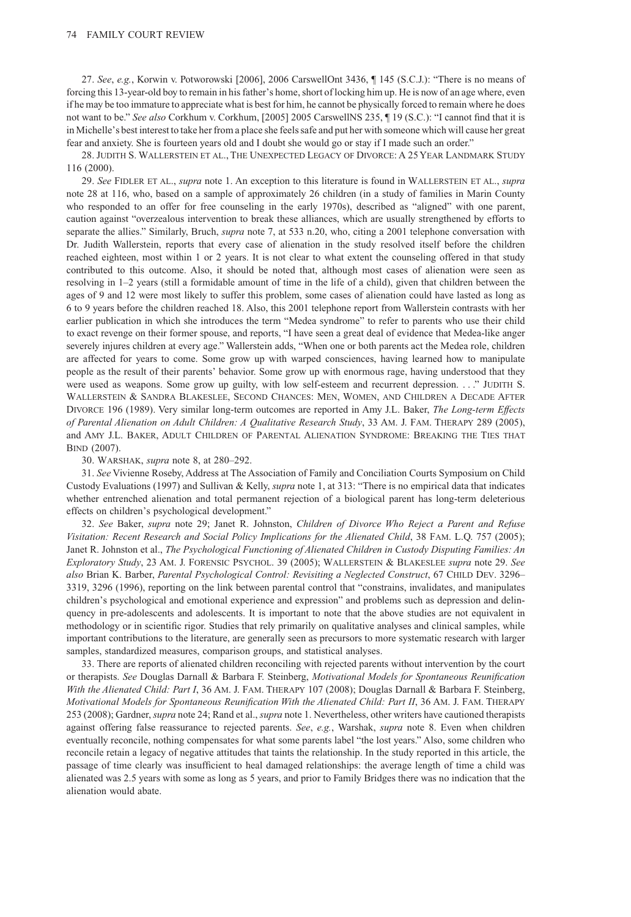#### 74 FAMILY COURT REVIEW

27. *See*, *e.g.*, Korwin v. Potworowski [2006], 2006 CarswellOnt 3436, ¶ 145 (S.C.J.): "There is no means of forcing this 13-year-old boy to remain in his father's home, short of locking him up. He is now of an age where, even if he may be too immature to appreciate what is best for him, he cannot be physically forced to remain where he does not want to be." *See also* Corkhum v. Corkhum, [2005] 2005 CarswellNS 235, ¶ 19 (S.C.): "I cannot find that it is in Michelle's best interest to take her from a place she feels safe and put her with someone which will cause her great fear and anxiety. She is fourteen years old and I doubt she would go or stay if I made such an order."

28. JUDITH S. WALLERSTEIN ET AL., THE UNEXPECTED LEGACY OF DIVORCE: A 25 YEAR LANDMARK STUDY 116 (2000).

29. *See* FIDLER ET AL., *supra* note 1. An exception to this literature is found in WALLERSTEIN ET AL., *supra* note 28 at 116, who, based on a sample of approximately 26 children (in a study of families in Marin County who responded to an offer for free counseling in the early 1970s), described as "aligned" with one parent, caution against "overzealous intervention to break these alliances, which are usually strengthened by efforts to separate the allies." Similarly, Bruch, *supra* note 7, at 533 n.20, who, citing a 2001 telephone conversation with Dr. Judith Wallerstein, reports that every case of alienation in the study resolved itself before the children reached eighteen, most within 1 or 2 years. It is not clear to what extent the counseling offered in that study contributed to this outcome. Also, it should be noted that, although most cases of alienation were seen as resolving in 1–2 years (still a formidable amount of time in the life of a child), given that children between the ages of 9 and 12 were most likely to suffer this problem, some cases of alienation could have lasted as long as 6 to 9 years before the children reached 18. Also, this 2001 telephone report from Wallerstein contrasts with her earlier publication in which she introduces the term "Medea syndrome" to refer to parents who use their child to exact revenge on their former spouse, and reports, "I have seen a great deal of evidence that Medea-like anger severely injures children at every age." Wallerstein adds, "When one or both parents act the Medea role, children are affected for years to come. Some grow up with warped consciences, having learned how to manipulate people as the result of their parents' behavior. Some grow up with enormous rage, having understood that they were used as weapons. Some grow up guilty, with low self-esteem and recurrent depression. . . . " JUDITH S. WALLERSTEIN & SANDRA BLAKESLEE, SECOND CHANCES: MEN, WOMEN, AND CHILDREN A DECADE AFTER DIVORCE 196 (1989). Very similar long-term outcomes are reported in Amy J.L. Baker, *The Long-term Effects of Parental Alienation on Adult Children: A Qualitative Research Study*, 33 AM. J. FAM. THERAPY 289 (2005), and AMY J.L. BAKER, ADULT CHILDREN OF PARENTAL ALIENATION SYNDROME: BREAKING THE TIES THAT BIND (2007).

#### 30. WARSHAK, *supra* note 8, at 280–292.

31. *See* Vivienne Roseby, Address at The Association of Family and Conciliation Courts Symposium on Child Custody Evaluations (1997) and Sullivan & Kelly, *supra* note 1, at 313: "There is no empirical data that indicates whether entrenched alienation and total permanent rejection of a biological parent has long-term deleterious effects on children's psychological development."

32. *See* Baker, *supra* note 29; Janet R. Johnston, *Children of Divorce Who Reject a Parent and Refuse Visitation: Recent Research and Social Policy Implications for the Alienated Child*, 38 FAM. L.Q. 757 (2005); Janet R. Johnston et al., *The Psychological Functioning of Alienated Children in Custody Disputing Families: An Exploratory Study*, 23 AM. J. FORENSIC PSYCHOL. 39 (2005); WALLERSTEIN & BLAKESLEE *supra* note 29. *See also* Brian K. Barber, *Parental Psychological Control: Revisiting a Neglected Construct*, 67 CHILD DEV. 3296– 3319, 3296 (1996), reporting on the link between parental control that "constrains, invalidates, and manipulates children's psychological and emotional experience and expression" and problems such as depression and delinquency in pre-adolescents and adolescents. It is important to note that the above studies are not equivalent in methodology or in scientific rigor. Studies that rely primarily on qualitative analyses and clinical samples, while important contributions to the literature, are generally seen as precursors to more systematic research with larger samples, standardized measures, comparison groups, and statistical analyses.

33. There are reports of alienated children reconciling with rejected parents without intervention by the court or therapists. *See* Douglas Darnall & Barbara F. Steinberg, *Motivational Models for Spontaneous Reunification With the Alienated Child: Part I*, 36 AM. J. FAM. THERAPY 107 (2008); Douglas Darnall & Barbara F. Steinberg, *Motivational Models for Spontaneous Reunification With the Alienated Child: Part II*, 36 AM. J. FAM. THERAPY 253 (2008); Gardner, *supra* note 24; Rand et al., *supra* note 1. Nevertheless, other writers have cautioned therapists against offering false reassurance to rejected parents. *See*, *e.g.*, Warshak, *supra* note 8. Even when children eventually reconcile, nothing compensates for what some parents label "the lost years." Also, some children who reconcile retain a legacy of negative attitudes that taints the relationship. In the study reported in this article, the passage of time clearly was insufficient to heal damaged relationships: the average length of time a child was alienated was 2.5 years with some as long as 5 years, and prior to Family Bridges there was no indication that the alienation would abate.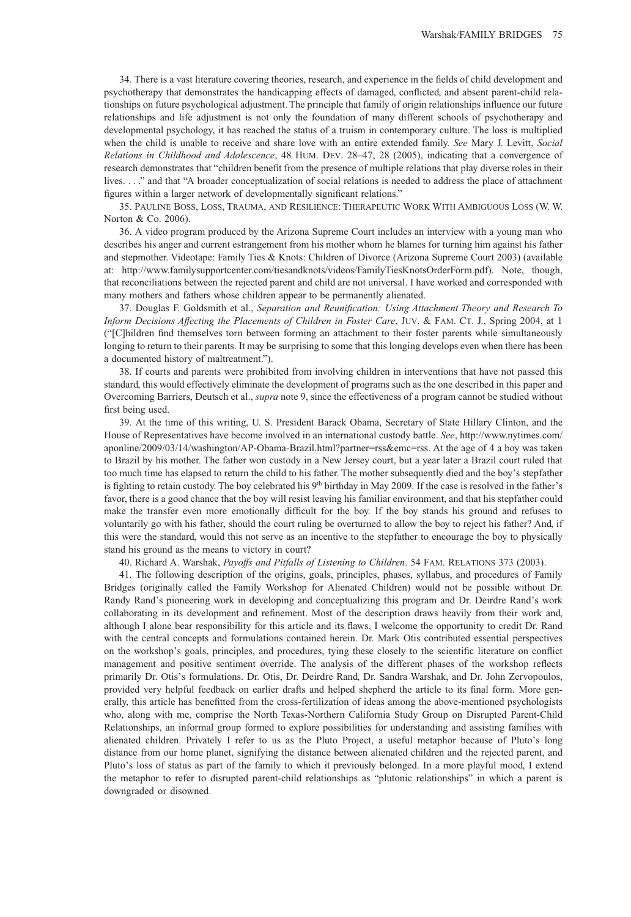34. There is a vast literature covering theories, research, and experience in the fields of child development and psychotherapy that demonstrates the handicapping effects of damaged, conflicted, and absent parent-child relationships on future psychological adjustment. The principle that family of origin relationships influence our future relationships and life adjustment is not only the foundation of many different schools of psychotherapy and developmental psychology, it has reached the status of a truism in contemporary culture. The loss is multiplied when the child is unable to receive and share love with an entire extended family. *See* Mary J. Levitt, *Social Relations in Childhood and Adolescence*, 48 HUM. DEV. 28–47, 28 (2005), indicating that a convergence of research demonstrates that "children benefit from the presence of multiple relations that play diverse roles in their lives. . . ." and that "A broader conceptualization of social relations is needed to address the place of attachment figures within a larger network of developmentally significant relations."

35. PAULINE BOSS, LOSS, TRAUMA, AND RESILIENCE: THERAPEUTIC WORK WITH AMBIGUOUS LOSS (W. W. Norton & Co. 2006).

36. A video program produced by the Arizona Supreme Court includes an interview with a young man who describes his anger and current estrangement from his mother whom he blames for turning him against his father and stepmother. Videotape: Family Ties & Knots: Children of Divorce (Arizona Supreme Court 2003) (available at: http://www.familysupportcenter.com/tiesandknots/videos/FamilyTiesKnotsOrderForm.pdf). Note, though, that reconciliations between the rejected parent and child are not universal. I have worked and corresponded with many mothers and fathers whose children appear to be permanently alienated.

37. Douglas F. Goldsmith et al., *Separation and Reunification: Using Attachment Theory and Research To Inform Decisions Affecting the Placements of Children in Foster Care*, JUV. & FAM. CT. J., Spring 2004, at 1 ("[C]hildren find themselves torn between forming an attachment to their foster parents while simultaneously longing to return to their parents. It may be surprising to some that this longing develops even when there has been a documented history of maltreatment.").

38. If courts and parents were prohibited from involving children in interventions that have not passed this standard, this would effectively eliminate the development of programs such as the one described in this paper and Overcoming Barriers, Deutsch et al., *supra* note 9, since the effectiveness of a program cannot be studied without first being used.

39. At the time of this writing, U. S. President Barack Obama, Secretary of State Hillary Clinton, and the House of Representatives have become involved in an international custody battle. *See*, http://www.nytimes.com/ aponline/2009/03/14/washington/AP-Obama-Brazil.html?partner=rss&emc=rss. At the age of 4 a boy was taken to Brazil by his mother. The father won custody in a New Jersey court, but a year later a Brazil court ruled that too much time has elapsed to return the child to his father. The mother subsequently died and the boy's stepfather is fighting to retain custody. The boy celebrated his  $9<sup>th</sup>$  birthday in May 2009. If the case is resolved in the father's favor, there is a good chance that the boy will resist leaving his familiar environment, and that his stepfather could make the transfer even more emotionally difficult for the boy. If the boy stands his ground and refuses to voluntarily go with his father, should the court ruling be overturned to allow the boy to reject his father? And, if this were the standard, would this not serve as an incentive to the stepfather to encourage the boy to physically stand his ground as the means to victory in court?

40. Richard A. Warshak, *Payoffs and Pitfalls of Listening to Children*. 54 FAM. RELATIONS 373 (2003).

41. The following description of the origins, goals, principles, phases, syllabus, and procedures of Family Bridges (originally called the Family Workshop for Alienated Children) would not be possible without Dr. Randy Rand's pioneering work in developing and conceptualizing this program and Dr. Deirdre Rand's work collaborating in its development and refinement. Most of the description draws heavily from their work and, although I alone bear responsibility for this article and its flaws, I welcome the opportunity to credit Dr. Rand with the central concepts and formulations contained herein. Dr. Mark Otis contributed essential perspectives on the workshop's goals, principles, and procedures, tying these closely to the scientific literature on conflict management and positive sentiment override. The analysis of the different phases of the workshop reflects primarily Dr. Otis's formulations. Dr. Otis, Dr. Deirdre Rand, Dr. Sandra Warshak, and Dr. John Zervopoulos, provided very helpful feedback on earlier drafts and helped shepherd the article to its final form. More generally, this article has benefitted from the cross-fertilization of ideas among the above-mentioned psychologists who, along with me, comprise the North Texas-Northern California Study Group on Disrupted Parent-Child Relationships, an informal group formed to explore possibilities for understanding and assisting families with alienated children. Privately I refer to us as the Pluto Project, a useful metaphor because of Pluto's long distance from our home planet, signifying the distance between alienated children and the rejected parent, and Pluto's loss of status as part of the family to which it previously belonged. In a more playful mood, I extend the metaphor to refer to disrupted parent-child relationships as "plutonic relationships" in which a parent is downgraded or disowned.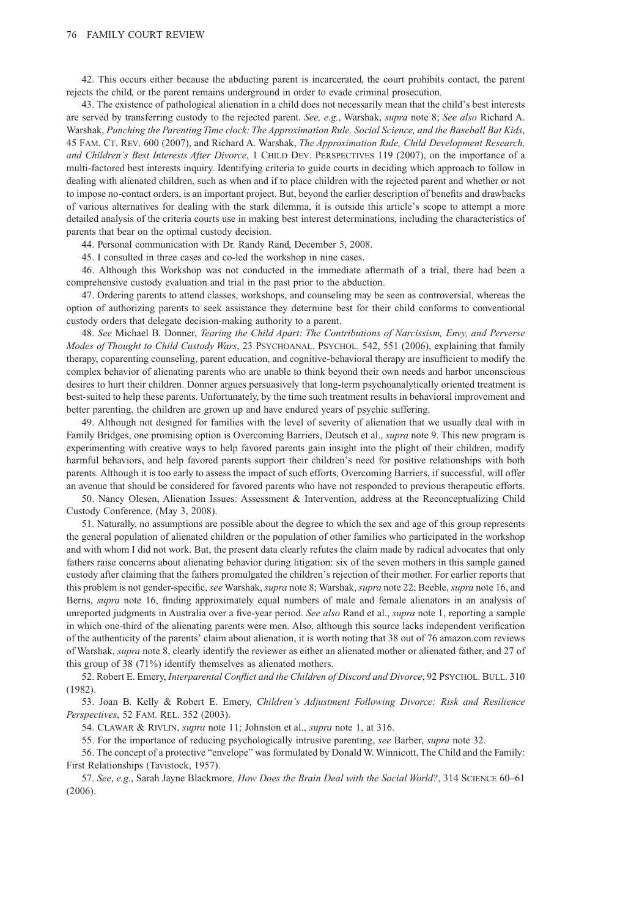#### 76 FAMILY COURT REVIEW

42. This occurs either because the abducting parent is incarcerated, the court prohibits contact, the parent rejects the child, or the parent remains underground in order to evade criminal prosecution.

43. The existence of pathological alienation in a child does not necessarily mean that the child's best interests are served by transferring custody to the rejected parent. *See, e.g.*, Warshak, *supra* note 8; *See also* Richard A. Warshak, *Punching the Parenting Time clock: The Approximation Rule, Social Science, and the Baseball Bat Kids*, 45 FAM. CT. REV. 600 (2007), and Richard A. Warshak, *The Approximation Rule, Child Development Research, and Children's Best Interests After Divorce*,1CHILD DEV. PERSPECTIVES 119 (2007), on the importance of a multi-factored best interests inquiry. Identifying criteria to guide courts in deciding which approach to follow in dealing with alienated children, such as when and if to place children with the rejected parent and whether or not to impose no-contact orders, is an important project. But, beyond the earlier description of benefits and drawbacks of various alternatives for dealing with the stark dilemma, it is outside this article's scope to attempt a more detailed analysis of the criteria courts use in making best interest determinations, including the characteristics of parents that bear on the optimal custody decision.

44. Personal communication with Dr. Randy Rand, December 5, 2008.

45. I consulted in three cases and co-led the workshop in nine cases.

46. Although this Workshop was not conducted in the immediate aftermath of a trial, there had been a comprehensive custody evaluation and trial in the past prior to the abduction.

47. Ordering parents to attend classes, workshops, and counseling may be seen as controversial, whereas the option of authorizing parents to seek assistance they determine best for their child conforms to conventional custody orders that delegate decision-making authority to a parent.

48. *See* Michael B. Donner, *Tearing the Child Apart: The Contributions of Narcissism, Envy, and Perverse Modes of Thought to Child Custody Wars*, 23 PSYCHOANAL. PSYCHOL. 542, 551 (2006), explaining that family therapy, coparenting counseling, parent education, and cognitive-behavioral therapy are insufficient to modify the complex behavior of alienating parents who are unable to think beyond their own needs and harbor unconscious desires to hurt their children. Donner argues persuasively that long-term psychoanalytically oriented treatment is best-suited to help these parents. Unfortunately, by the time such treatment results in behavioral improvement and better parenting, the children are grown up and have endured years of psychic suffering.

49. Although not designed for families with the level of severity of alienation that we usually deal with in Family Bridges, one promising option is Overcoming Barriers, Deutsch et al., *supra* note 9. This new program is experimenting with creative ways to help favored parents gain insight into the plight of their children, modify harmful behaviors, and help favored parents support their children's need for positive relationships with both parents. Although it is too early to assess the impact of such efforts, Overcoming Barriers, if successful, will offer an avenue that should be considered for favored parents who have not responded to previous therapeutic efforts.

50. Nancy Olesen, Alienation Issues: Assessment & Intervention, address at the Reconceptualizing Child Custody Conference, (May 3, 2008).

51. Naturally, no assumptions are possible about the degree to which the sex and age of this group represents the general population of alienated children or the population of other families who participated in the workshop and with whom I did not work. But, the present data clearly refutes the claim made by radical advocates that only fathers raise concerns about alienating behavior during litigation: six of the seven mothers in this sample gained custody after claiming that the fathers promulgated the children's rejection of their mother. For earlier reports that this problem is not gender-specific, *see* Warshak, *supra* note 8; Warshak, *supra* note 22; Beeble, *supra* note 16, and Berns, *supra* note 16, finding approximately equal numbers of male and female alienators in an analysis of unreported judgments in Australia over a five-year period. *See also* Rand et al., *supra* note 1, reporting a sample in which one-third of the alienating parents were men. Also, although this source lacks independent verification of the authenticity of the parents' claim about alienation, it is worth noting that 38 out of 76 amazon.com reviews of Warshak, *supra* note 8, clearly identify the reviewer as either an alienated mother or alienated father, and 27 of this group of 38 (71%) identify themselves as alienated mothers.

52. Robert E. Emery, *Interparental Conflict and the Children of Discord and Divorce*, 92 PSYCHOL. BULL. 310 (1982).

53. Joan B. Kelly & Robert E. Emery, *Children's Adjustment Following Divorce: Risk and Resilience Perspectives*, 52 FAM. REL. 352 (2003).

54. CLAWAR & RIVLIN, *supra* note 11; Johnston et al., *supra* note 1, at 316.

55. For the importance of reducing psychologically intrusive parenting, *see* Barber, *supra* note 32.

56. The concept of a protective "envelope" was formulated by Donald W. Winnicott, The Child and the Family: First Relationships (Tavistock, 1957).

57. *See*, *e.g.*, Sarah Jayne Blackmore, *How Does the Brain Deal with the Social World?*, 314 SCIENCE 60–61 (2006).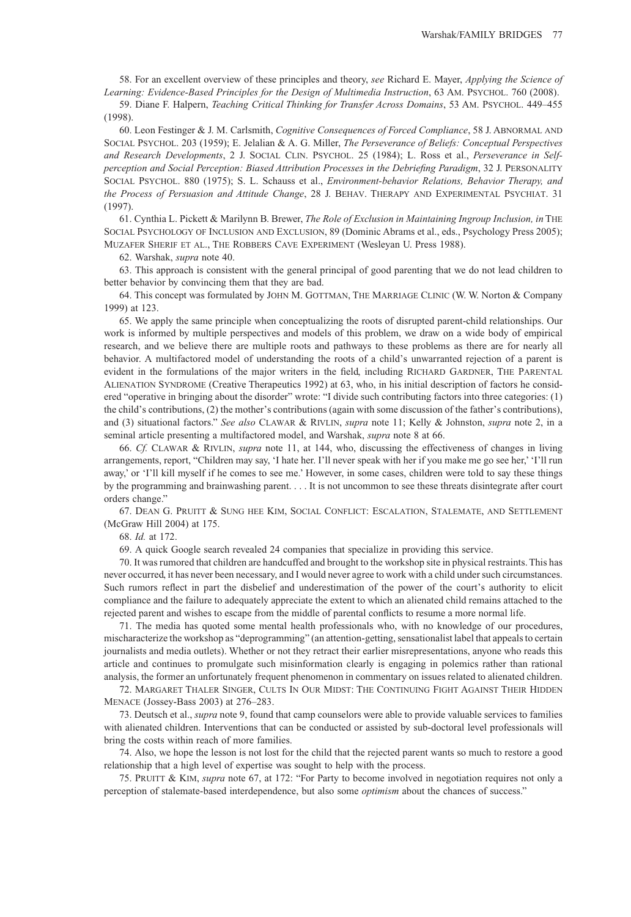58. For an excellent overview of these principles and theory, *see* Richard E. Mayer, *Applying the Science of* Learning: Evidence-Based Principles for the Design of Multimedia Instruction, 63 AM. PSYCHOL. 760 (2008).

59. Diane F. Halpern, *Teaching Critical Thinking for Transfer Across Domains*, 53 AM. PSYCHOL. 449–455 (1998).

60. Leon Festinger & J. M. Carlsmith, *Cognitive Consequences of Forced Compliance*, 58 J. ABNORMAL AND SOCIAL PSYCHOL. 203 (1959); E. Jelalian & A. G. Miller, *The Perseverance of Beliefs: Conceptual Perspectives and Research Developments*, 2 J. SOCIAL CLIN. PSYCHOL. 25 (1984); L. Ross et al., *Perseverance in Selfperception and Social Perception: Biased Attribution Processes in the Debriefing Paradigm*, 32 J. PERSONALITY SOCIAL PSYCHOL. 880 (1975); S. L. Schauss et al., *Environment-behavior Relations, Behavior Therapy, and the Process of Persuasion and Attitude Change*, 28 J. BEHAV. THERAPY AND EXPERIMENTAL PSYCHIAT. 31 (1997).

61. Cynthia L. Pickett & Marilynn B. Brewer, *The Role of Exclusion in Maintaining Ingroup Inclusion, in* THE SOCIAL PSYCHOLOGY OF INCLUSION AND EXCLUSION, 89 (Dominic Abrams et al., eds., Psychology Press 2005); MUZAFER SHERIF ET AL., THE ROBBERS CAVE EXPERIMENT (Wesleyan U. Press 1988).

62. Warshak, *supra* note 40.

63. This approach is consistent with the general principal of good parenting that we do not lead children to better behavior by convincing them that they are bad.

64. This concept was formulated by JOHN M. GOTTMAN, THE MARRIAGE CLINIC (W. W. Norton & Company 1999) at 123.

65. We apply the same principle when conceptualizing the roots of disrupted parent-child relationships. Our work is informed by multiple perspectives and models of this problem, we draw on a wide body of empirical research, and we believe there are multiple roots and pathways to these problems as there are for nearly all behavior. A multifactored model of understanding the roots of a child's unwarranted rejection of a parent is evident in the formulations of the major writers in the field, including RICHARD GARDNER, THE PARENTAL ALIENATION SYNDROME (Creative Therapeutics 1992) at 63, who, in his initial description of factors he considered "operative in bringing about the disorder" wrote: "I divide such contributing factors into three categories: (1) the child's contributions, (2) the mother's contributions (again with some discussion of the father's contributions), and (3) situational factors." *See also* CLAWAR & RIVLIN, *supra* note 11; Kelly & Johnston, *supra* note 2, in a seminal article presenting a multifactored model, and Warshak, *supra* note 8 at 66.

66. *Cf.* CLAWAR & RIVLIN, *supra* note 11, at 144, who, discussing the effectiveness of changes in living arrangements, report, "Children may say, 'I hate her. I'll never speak with her if you make me go see her,' 'I'll run away,' or 'I'll kill myself if he comes to see me.' However, in some cases, children were told to say these things by the programming and brainwashing parent. . . . It is not uncommon to see these threats disintegrate after court orders change."

67. DEAN G. PRUITT & SUNG HEE KIM, SOCIAL CONFLICT: ESCALATION, STALEMATE, AND SETTLEMENT (McGraw Hill 2004) at 175.

68. *Id.* at 172.

69. A quick Google search revealed 24 companies that specialize in providing this service.

70. It was rumored that children are handcuffed and brought to the workshop site in physical restraints. This has never occurred, it has never been necessary, and I would never agree to work with a child under such circumstances. Such rumors reflect in part the disbelief and underestimation of the power of the court's authority to elicit compliance and the failure to adequately appreciate the extent to which an alienated child remains attached to the rejected parent and wishes to escape from the middle of parental conflicts to resume a more normal life.

71. The media has quoted some mental health professionals who, with no knowledge of our procedures, mischaracterize the workshop as "deprogramming" (an attention-getting, sensationalist label that appeals to certain journalists and media outlets). Whether or not they retract their earlier misrepresentations, anyone who reads this article and continues to promulgate such misinformation clearly is engaging in polemics rather than rational analysis, the former an unfortunately frequent phenomenon in commentary on issues related to alienated children.

72. MARGARET THALER SINGER, CULTS IN OUR MIDST: THE CONTINUING FIGHT AGAINST THEIR HIDDEN MENACE (Jossey-Bass 2003) at 276–283.

73. Deutsch et al., *supra* note 9, found that camp counselors were able to provide valuable services to families with alienated children. Interventions that can be conducted or assisted by sub-doctoral level professionals will bring the costs within reach of more families.

74. Also, we hope the lesson is not lost for the child that the rejected parent wants so much to restore a good relationship that a high level of expertise was sought to help with the process.

75. PRUITT & KIM, *supra* note 67, at 172: "For Party to become involved in negotiation requires not only a perception of stalemate-based interdependence, but also some *optimism* about the chances of success."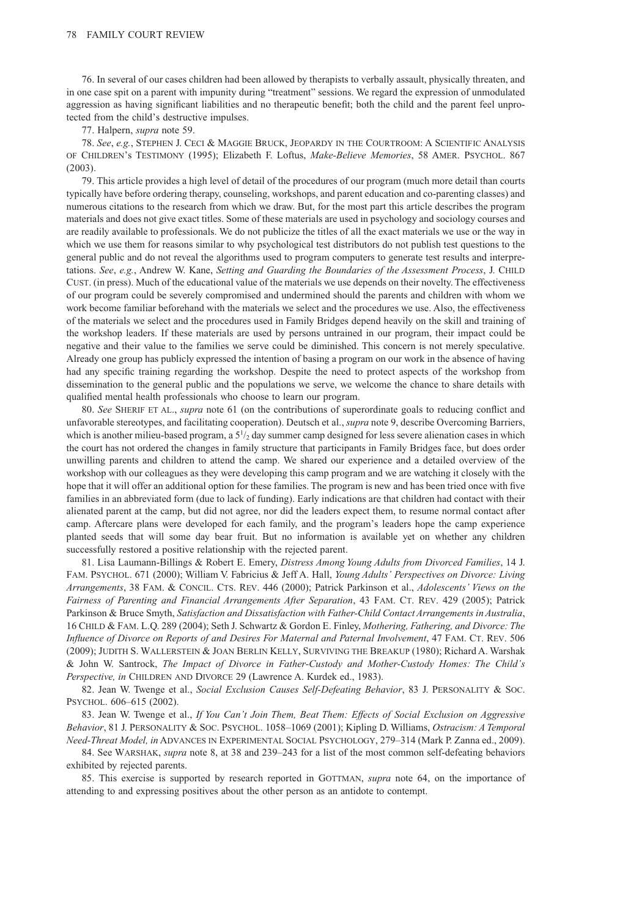76. In several of our cases children had been allowed by therapists to verbally assault, physically threaten, and in one case spit on a parent with impunity during "treatment" sessions. We regard the expression of unmodulated aggression as having significant liabilities and no therapeutic benefit; both the child and the parent feel unprotected from the child's destructive impulses.

77. Halpern, *supra* note 59.

78. See, e.g., STEPHEN J. CECI & MAGGIE BRUCK, JEOPARDY IN THE COURTROOM: A SCIENTIFIC ANALYSIS OF CHILDREN's TESTIMONY (1995); Elizabeth F. Loftus, *Make-Believe Memories*, 58 AMER. PSYCHOL. 867 (2003).

79. This article provides a high level of detail of the procedures of our program (much more detail than courts typically have before ordering therapy, counseling, workshops, and parent education and co-parenting classes) and numerous citations to the research from which we draw. But, for the most part this article describes the program materials and does not give exact titles. Some of these materials are used in psychology and sociology courses and are readily available to professionals. We do not publicize the titles of all the exact materials we use or the way in which we use them for reasons similar to why psychological test distributors do not publish test questions to the general public and do not reveal the algorithms used to program computers to generate test results and interpretations. *See*, *e.g.*, Andrew W. Kane, *Setting and Guarding the Boundaries of the Assessment Process*, J. CHILD CUST. (in press). Much of the educational value of the materials we use depends on their novelty. The effectiveness of our program could be severely compromised and undermined should the parents and children with whom we work become familiar beforehand with the materials we select and the procedures we use. Also, the effectiveness of the materials we select and the procedures used in Family Bridges depend heavily on the skill and training of the workshop leaders. If these materials are used by persons untrained in our program, their impact could be negative and their value to the families we serve could be diminished. This concern is not merely speculative. Already one group has publicly expressed the intention of basing a program on our work in the absence of having had any specific training regarding the workshop. Despite the need to protect aspects of the workshop from dissemination to the general public and the populations we serve, we welcome the chance to share details with qualified mental health professionals who choose to learn our program.

80. *See* SHERIF ET AL., *supra* note 61 (on the contributions of superordinate goals to reducing conflict and unfavorable stereotypes, and facilitating cooperation). Deutsch et al., *supra* note 9, describe Overcoming Barriers, which is another milieu-based program, a  $5^{1/2}$  day summer camp designed for less severe alienation cases in which the court has not ordered the changes in family structure that participants in Family Bridges face, but does order unwilling parents and children to attend the camp. We shared our experience and a detailed overview of the workshop with our colleagues as they were developing this camp program and we are watching it closely with the hope that it will offer an additional option for these families. The program is new and has been tried once with five families in an abbreviated form (due to lack of funding). Early indications are that children had contact with their alienated parent at the camp, but did not agree, nor did the leaders expect them, to resume normal contact after camp. Aftercare plans were developed for each family, and the program's leaders hope the camp experience planted seeds that will some day bear fruit. But no information is available yet on whether any children successfully restored a positive relationship with the rejected parent.

81. Lisa Laumann-Billings & Robert E. Emery, *Distress Among Young Adults from Divorced Families*, 14 J. FAM. PSYCHOL. 671 (2000); William V. Fabricius & Jeff A. Hall, *Young Adults' Perspectives on Divorce: Living Arrangements*, 38 FAM.&CONCIL. CTS. REV. 446 (2000); Patrick Parkinson et al., *Adolescents' Views on the Fairness of Parenting and Financial Arrangements After Separation*, 43 FAM. CT. REV. 429 (2005); Patrick Parkinson & Bruce Smyth, *Satisfaction and Dissatisfaction with Father-Child Contact Arrangements in Australia*, 16 CHILD & FAM. L.Q. 289 (2004); Seth J. Schwartz & Gordon E. Finley, *Mothering, Fathering, and Divorce: The Influence of Divorce on Reports of and Desires For Maternal and Paternal Involvement*, 47 FAM. CT. REV. 506 (2009); JUDITH S. WALLERSTEIN & JOAN BERLIN KELLY, SURVIVING THE BREAKUP (1980); Richard A. Warshak & John W. Santrock, *The Impact of Divorce in Father-Custody and Mother-Custody Homes: The Child's Perspective, in* CHILDREN AND DIVORCE 29 (Lawrence A. Kurdek ed., 1983).

82. Jean W. Twenge et al., *Social Exclusion Causes Self-Defeating Behavior*, 83 J. PERSONALITY & SOC. PSYCHOL. 606–615 (2002).

83. Jean W. Twenge et al., *If You Can't Join Them, Beat Them: Effects of Social Exclusion on Aggressive Behavior*, 81 J. PERSONALITY & SOC. PSYCHOL. 1058–1069 (2001); Kipling D. Williams, *Ostracism: A Temporal Need-Threat Model, in* ADVANCES IN EXPERIMENTAL SOCIAL PSYCHOLOGY, 279–314 (Mark P. Zanna ed., 2009).

84. See WARSHAK, *supra* note 8, at 38 and 239–243 for a list of the most common self-defeating behaviors exhibited by rejected parents.

85. This exercise is supported by research reported in GOTTMAN, *supra* note 64, on the importance of attending to and expressing positives about the other person as an antidote to contempt.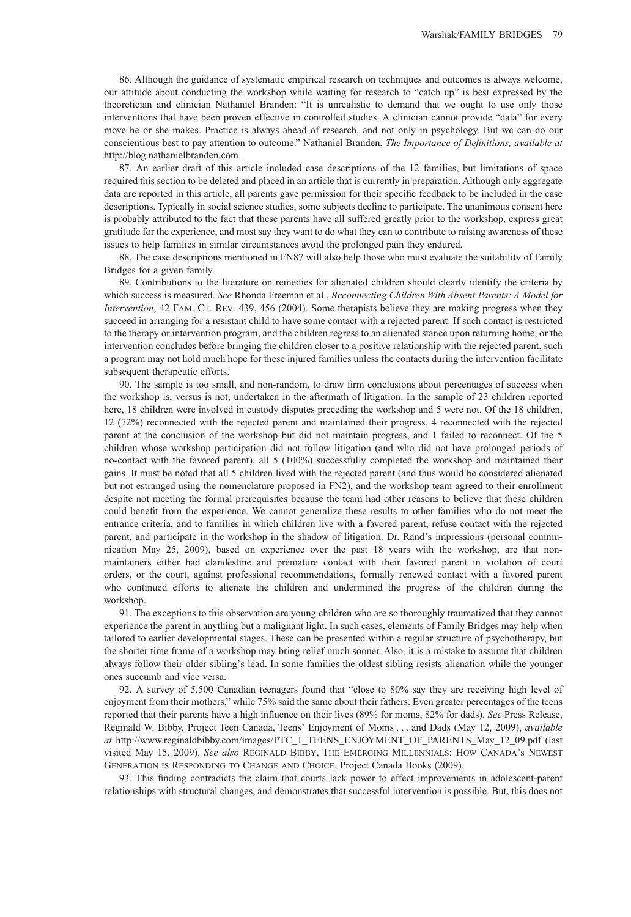86. Although the guidance of systematic empirical research on techniques and outcomes is always welcome, our attitude about conducting the workshop while waiting for research to "catch up" is best expressed by the theoretician and clinician Nathaniel Branden: "It is unrealistic to demand that we ought to use only those interventions that have been proven effective in controlled studies. A clinician cannot provide "data" for every move he or she makes. Practice is always ahead of research, and not only in psychology. But we can do our conscientious best to pay attention to outcome." Nathaniel Branden, *The Importance of Definitions, available at* http://blog.nathanielbranden.com.

87. An earlier draft of this article included case descriptions of the 12 families, but limitations of space required this section to be deleted and placed in an article that is currently in preparation. Although only aggregate data are reported in this article, all parents gave permission for their specific feedback to be included in the case descriptions. Typically in social science studies, some subjects decline to participate. The unanimous consent here is probably attributed to the fact that these parents have all suffered greatly prior to the workshop, express great gratitude for the experience, and most say they want to do what they can to contribute to raising awareness of these issues to help families in similar circumstances avoid the prolonged pain they endured.

88. The case descriptions mentioned in FN87 will also help those who must evaluate the suitability of Family Bridges for a given family.

89. Contributions to the literature on remedies for alienated children should clearly identify the criteria by which success is measured. *See* Rhonda Freeman et al., *Reconnecting Children With Absent Parents: A Model for Intervention*, 42 FAM. CT. REV. 439, 456 (2004). Some therapists believe they are making progress when they succeed in arranging for a resistant child to have some contact with a rejected parent. If such contact is restricted to the therapy or intervention program, and the children regress to an alienated stance upon returning home, or the intervention concludes before bringing the children closer to a positive relationship with the rejected parent, such a program may not hold much hope for these injured families unless the contacts during the intervention facilitate subsequent therapeutic efforts.

90. The sample is too small, and non-random, to draw firm conclusions about percentages of success when the workshop is, versus is not, undertaken in the aftermath of litigation. In the sample of 23 children reported here, 18 children were involved in custody disputes preceding the workshop and 5 were not. Of the 18 children, 12 (72%) reconnected with the rejected parent and maintained their progress, 4 reconnected with the rejected parent at the conclusion of the workshop but did not maintain progress, and 1 failed to reconnect. Of the 5 children whose workshop participation did not follow litigation (and who did not have prolonged periods of no-contact with the favored parent), all 5 (100%) successfully completed the workshop and maintained their gains. It must be noted that all 5 children lived with the rejected parent (and thus would be considered alienated but not estranged using the nomenclature proposed in FN2), and the workshop team agreed to their enrollment despite not meeting the formal prerequisites because the team had other reasons to believe that these children could benefit from the experience. We cannot generalize these results to other families who do not meet the entrance criteria, and to families in which children live with a favored parent, refuse contact with the rejected parent, and participate in the workshop in the shadow of litigation. Dr. Rand's impressions (personal communication May 25, 2009), based on experience over the past 18 years with the workshop, are that nonmaintainers either had clandestine and premature contact with their favored parent in violation of court orders, or the court, against professional recommendations, formally renewed contact with a favored parent who continued efforts to alienate the children and undermined the progress of the children during the workshop.

91. The exceptions to this observation are young children who are so thoroughly traumatized that they cannot experience the parent in anything but a malignant light. In such cases, elements of Family Bridges may help when tailored to earlier developmental stages. These can be presented within a regular structure of psychotherapy, but the shorter time frame of a workshop may bring relief much sooner. Also, it is a mistake to assume that children always follow their older sibling's lead. In some families the oldest sibling resists alienation while the younger ones succumb and vice versa.

92. A survey of 5,500 Canadian teenagers found that "close to 80% say they are receiving high level of enjoyment from their mothers," while 75% said the same about their fathers. Even greater percentages of the teens reported that their parents have a high influence on their lives (89% for moms, 82% for dads). *See* Press Release, Reginald W. Bibby, Project Teen Canada, Teens' Enjoyment of Moms . . . and Dads (May 12, 2009), *available at* http://www.reginaldbibby.com/images/PTC\_1\_TEENS\_ENJOYMENT\_OF\_PARENTS\_May\_12\_09.pdf (last visited May 15, 2009). *See also* REGINALD BIBBY, THE EMERGING MILLENNIALS: HOW CANADA's NEWEST GENERATION IS RESPONDING TO CHANGE AND CHOICE, Project Canada Books (2009).

93. This finding contradicts the claim that courts lack power to effect improvements in adolescent-parent relationships with structural changes, and demonstrates that successful intervention is possible. But, this does not